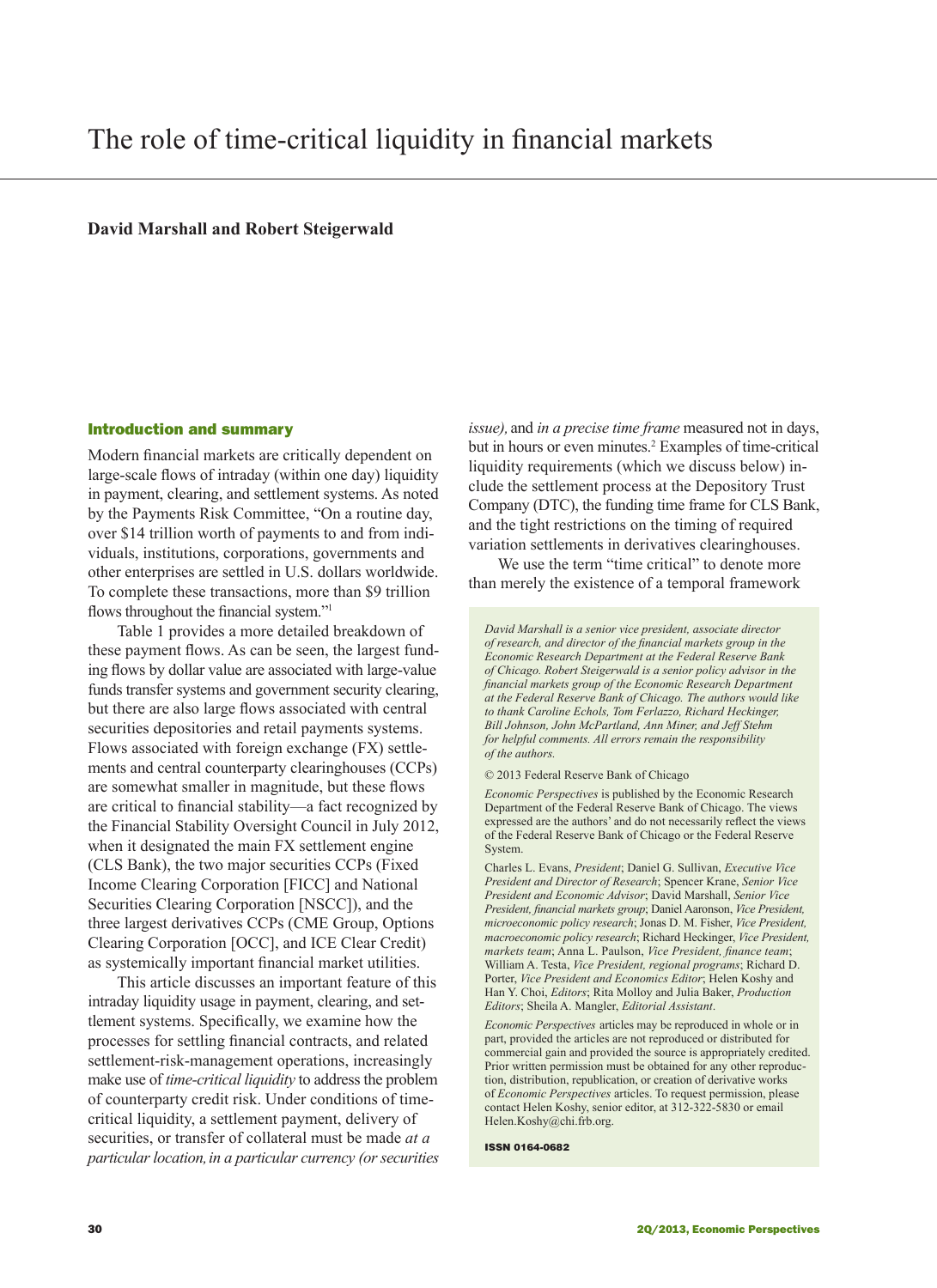## **David Marshall and Robert Steigerwald**

### Introduction and summary

Modern financial markets are critically dependent on large-scale flows of intraday (within one day) liquidity in payment, clearing, and settlement systems. As noted by the Payments Risk Committee, "On a routine day, over \$14 trillion worth of payments to and from individuals, institutions, corporations, governments and other enterprises are settled in U.S. dollars worldwide. To complete these transactions, more than \$9 trillion flows throughout the financial system."<sup>1</sup>

Table 1 provides a more detailed breakdown of these payment flows. As can be seen, the largest funding flows by dollar value are associated with large-value funds transfer systems and government security clearing, but there are also large flows associated with central securities depositories and retail payments systems. Flows associated with foreign exchange (FX) settlements and central counterparty clearinghouses (CCPs) are somewhat smaller in magnitude, but these flows are critical to financial stability—a fact recognized by the Financial Stability Oversight Council in July 2012, when it designated the main FX settlement engine (CLS Bank), the two major securities CCPs (Fixed Income Clearing Corporation [FICC] and National Securities Clearing Corporation [NSCC]), and the three largest derivatives CCPs (CME Group, Options Clearing Corporation [OCC], and ICE Clear Credit) as systemically important financial market utilities.

This article discusses an important feature of this intraday liquidity usage in payment, clearing, and settlement systems. Specifically, we examine how the processes for settling financial contracts, and related settlement-risk-management operations, increasingly make use of *time-critical liquidity* to address the problem of counterparty credit risk. Under conditions of timecritical liquidity, a settlement payment, delivery of securities, or transfer of collateral must be made *at a particular location,in a particular currency (or securities*  *issue),* and *in a precise time frame* measured not in days, but in hours or even minutes.<sup>2</sup> Examples of time-critical liquidity requirements (which we discuss below) include the settlement process at the Depository Trust Company (DTC), the funding time frame for CLS Bank, and the tight restrictions on the timing of required variation settlements in derivatives clearinghouses.

We use the term "time critical" to denote more than merely the existence of a temporal framework

*David Marshall is a senior vice president, associate director of research, and director of the financial markets group in the Economic Research Department at the Federal Reserve Bank of Chicago. Robert Steigerwald is a senior policy advisor in the financial markets group of the Economic Research Department at the Federal Reserve Bank of Chicago. The authors would like to thank Caroline Echols, Tom Ferlazzo, Richard Heckinger, Bill Johnson, John McPartland, Ann Miner, and Jeff Stehm for helpful comments. All errors remain the responsibility of the authors.*

© 2013 Federal Reserve Bank of Chicago

*Economic Perspectives* is published by the Economic Research Department of the Federal Reserve Bank of Chicago. The views expressed are the authors' and do not necessarily reflect the views of the Federal Reserve Bank of Chicago or the Federal Reserve System.

Charles L. Evans, *President*; Daniel G. Sullivan, *Executive Vice President and Director of Research*; Spencer Krane, *Senior Vice President and Economic Advisor*; David Marshall, *Senior Vice President, financial markets group*; Daniel Aaronson, *Vice President, microeconomic policy research*; Jonas D. M. Fisher, *Vice President, macroeconomic policy research*; Richard Heckinger, *Vice President, markets team*; Anna L. Paulson, *Vice President, finance team*; William A. Testa, *Vice President, regional programs*; Richard D. Porter, *Vice President and Economics Editor*; Helen Koshy and Han Y. Choi, *Editors*; Rita Molloy and Julia Baker, *Production Editors*; Sheila A. Mangler, *Editorial Assistant*.

*Economic Perspectives* articles may be reproduced in whole or in part, provided the articles are not reproduced or distributed for commercial gain and provided the source is appropriately credited. Prior written permission must be obtained for any other reproduction, distribution, republication, or creation of derivative works of *Economic Perspectives* articles. To request permission, please contact Helen Koshy, senior editor, at 312-322-5830 or email Helen.Koshy@chi.frb.org.

ISSN 0164-0682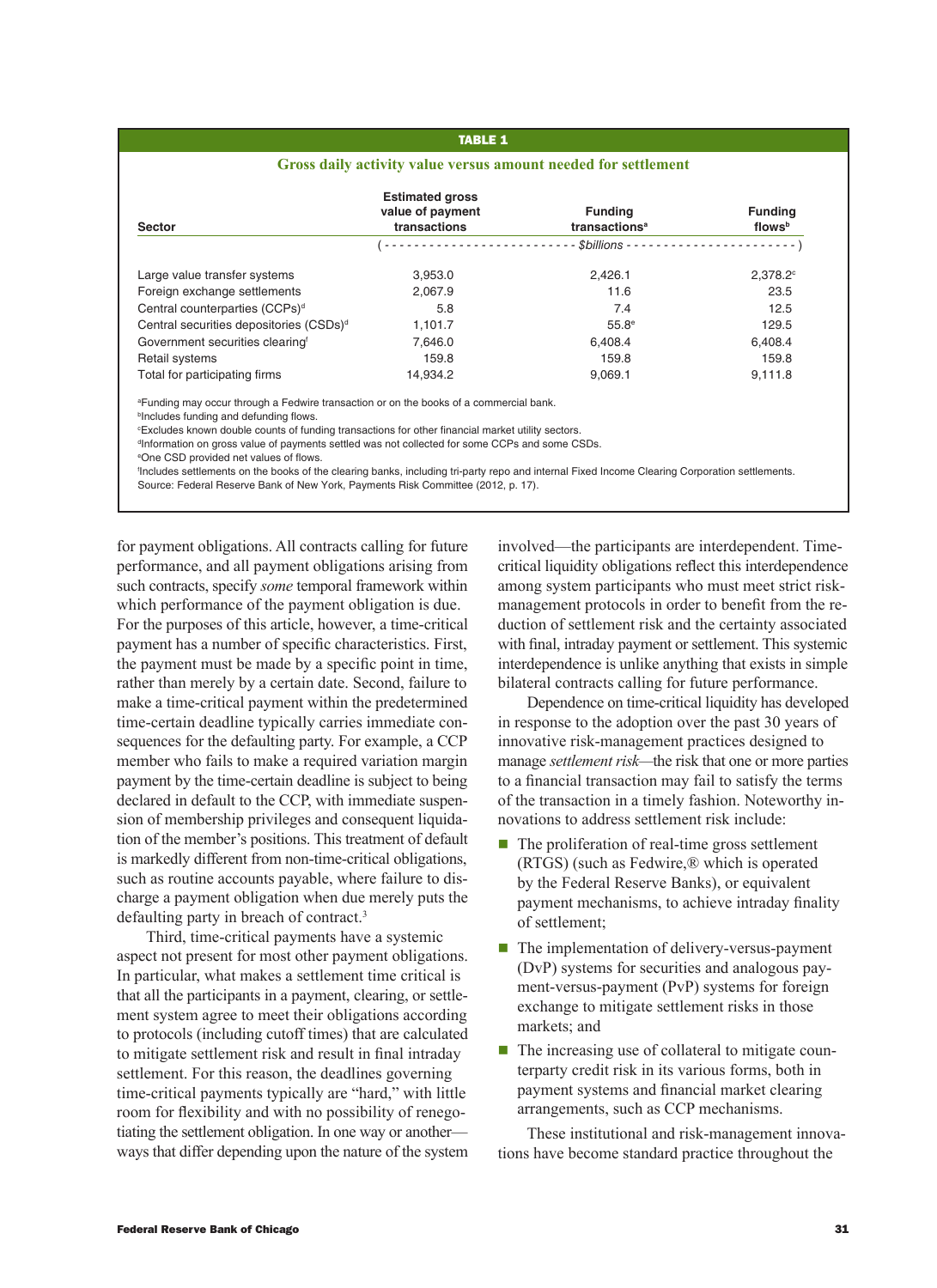# **TABLE 1**

#### **Gross daily activity value versus amount needed for settlement**

| <b>Sector</b>                                       | <b>Estimated gross</b><br>value of payment<br>transactions | <b>Funding</b><br>transactions <sup>a</sup> | <b>Funding</b><br>flowsb |
|-----------------------------------------------------|------------------------------------------------------------|---------------------------------------------|--------------------------|
|                                                     |                                                            |                                             |                          |
| Large value transfer systems                        | 3.953.0                                                    | 2.426.1                                     | $2.378.2$ <sup>c</sup>   |
| Foreign exchange settlements                        | 2.067.9                                                    | 11.6                                        | 23.5                     |
| Central counterparties (CCPs) <sup>d</sup>          | 5.8                                                        | 7.4                                         | 12.5                     |
| Central securities depositories (CSDs) <sup>d</sup> | 1.101.7                                                    | $55.8^{\circ}$                              | 129.5                    |
| Government securities clearing                      | 7.646.0                                                    | 6.408.4                                     | 6.408.4                  |
| Retail systems                                      | 159.8                                                      | 159.8                                       | 159.8                    |
| Total for participating firms                       | 14.934.2                                                   | 9,069.1                                     | 9,111.8                  |

a Funding may occur through a Fedwire transaction or on the books of a commercial bank.

**bIncludes funding and defunding flows.** 

c Excludes known double counts of funding transactions for other financial market utility sectors.

d Information on gross value of payments settled was not collected for some CCPs and some CSDs.

e One CSD provided net values of flows.

f Includes settlements on the books of the clearing banks, including tri-party repo and internal Fixed Income Clearing Corporation settlements. Source: Federal Reserve Bank of New York, Payments Risk Committee (2012, p. 17).

for payment obligations. All contracts calling for future performance, and all payment obligations arising from such contracts, specify *some* temporal framework within which performance of the payment obligation is due. For the purposes of this article, however, a time-critical payment has a number of specific characteristics. First, the payment must be made by a specific point in time, rather than merely by a certain date. Second, failure to make a time-critical payment within the predetermined time-certain deadline typically carries immediate consequences for the defaulting party. For example, a CCP member who fails to make a required variation margin payment by the time-certain deadline is subject to being declared in default to the CCP, with immediate suspension of membership privileges and consequent liquidation of the member's positions. This treatment of default is markedly different from non-time-critical obligations, such as routine accounts payable, where failure to discharge a payment obligation when due merely puts the defaulting party in breach of contract.3

Third, time-critical payments have a systemic aspect not present for most other payment obligations. In particular, what makes a settlement time critical is that all the participants in a payment, clearing, or settlement system agree to meet their obligations according to protocols (including cutoff times) that are calculated to mitigate settlement risk and result in final intraday settlement. For this reason, the deadlines governing time-critical payments typically are "hard," with little room for flexibility and with no possibility of renegotiating the settlement obligation. In one way or another ways that differ depending upon the nature of the system

involved—the participants are interdependent. Timecritical liquidity obligations reflect this interdependence among system participants who must meet strict riskmanagement protocols in order to benefit from the reduction of settlement risk and the certainty associated with final, intraday payment or settlement. This systemic interdependence is unlike anything that exists in simple bilateral contracts calling for future performance.

Dependence on time-critical liquidity has developed in response to the adoption over the past 30 years of innovative risk-management practices designed to manage *settlement risk—*the risk that one or more parties to a financial transaction may fail to satisfy the terms of the transaction in a timely fashion. Noteworthy innovations to address settlement risk include:

- $\blacksquare$  The proliferation of real-time gross settlement (RTGS) (such as Fedwire,® which is operated by the Federal Reserve Banks), or equivalent payment mechanisms, to achieve intraday finality of settlement;
- $\blacksquare$  The implementation of delivery-versus-payment (DvP) systems for securities and analogous payment-versus-payment (PvP) systems for foreign exchange to mitigate settlement risks in those markets; and
- $\blacksquare$  The increasing use of collateral to mitigate counterparty credit risk in its various forms, both in payment systems and financial market clearing arrangements, such as CCP mechanisms.

These institutional and risk-management innovations have become standard practice throughout the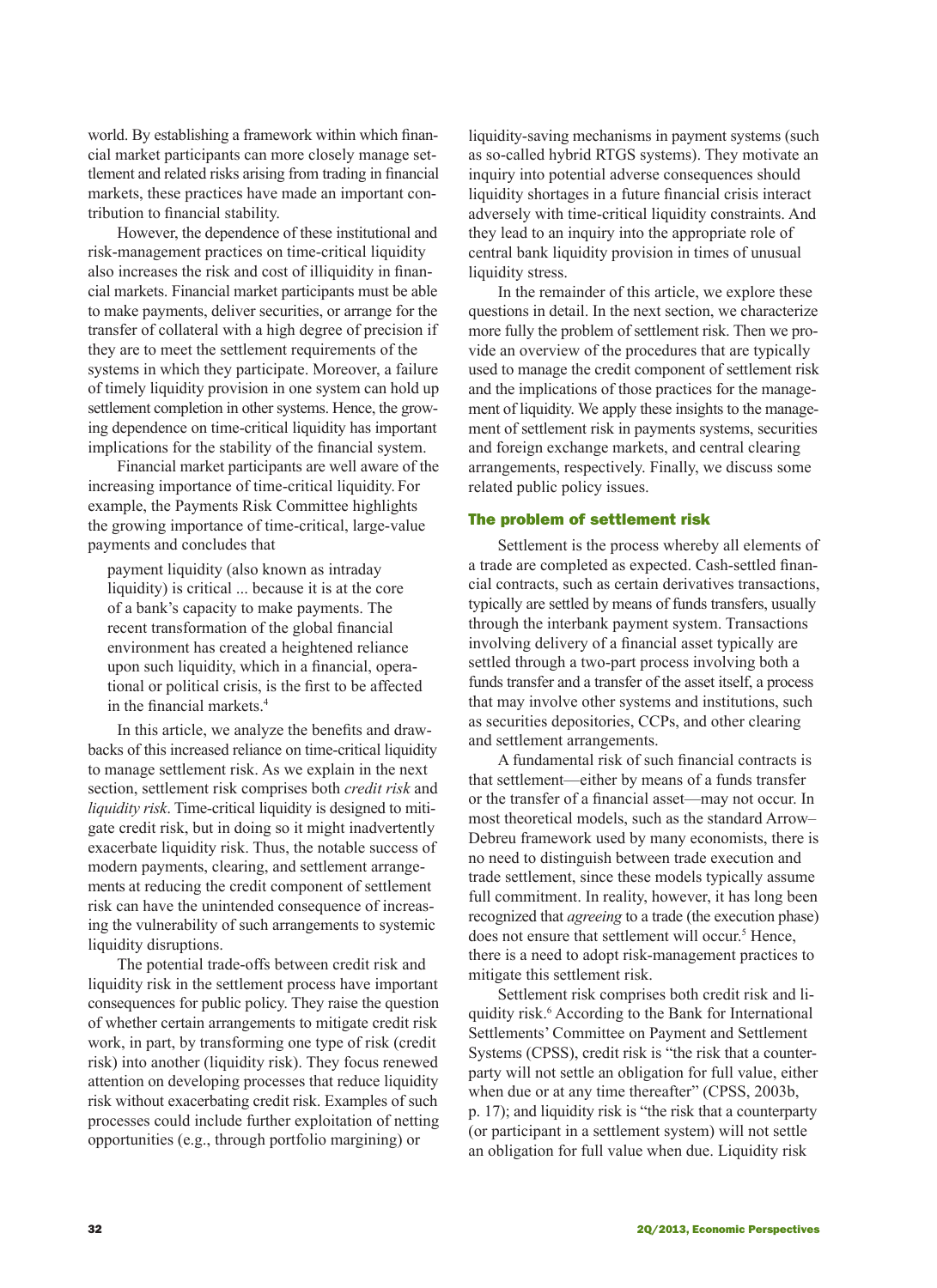world. By establishing a framework within which financial market participants can more closely manage settlement and related risks arising from trading in financial markets, these practices have made an important contribution to financial stability.

However, the dependence of these institutional and risk-management practices on time-critical liquidity also increases the risk and cost of illiquidity in financial markets. Financial market participants must be able to make payments, deliver securities, or arrange for the transfer of collateral with a high degree of precision if they are to meet the settlement requirements of the systems in which they participate. Moreover, a failure of timely liquidity provision in one system can hold up settlement completion in other systems. Hence, the growing dependence on time-critical liquidity has important implications for the stability of the financial system.

Financial market participants are well aware of the increasing importance of time-critical liquidity. For example, the Payments Risk Committee highlights the growing importance of time-critical, large-value payments and concludes that

payment liquidity (also known as intraday liquidity) is critical ... because it is at the core of a bank's capacity to make payments. The recent transformation of the global financial environment has created a heightened reliance upon such liquidity, which in a financial, operational or political crisis, is the first to be affected in the financial markets.<sup>4</sup>

In this article, we analyze the benefits and drawbacks of this increased reliance on time-critical liquidity to manage settlement risk. As we explain in the next section, settlement risk comprises both *credit risk* and *liquidity risk*. Time-critical liquidity is designed to mitigate credit risk, but in doing so it might inadvertently exacerbate liquidity risk. Thus, the notable success of modern payments, clearing, and settlement arrangements at reducing the credit component of settlement risk can have the unintended consequence of increasing the vulnerability of such arrangements to systemic liquidity disruptions.

The potential trade-offs between credit risk and liquidity risk in the settlement process have important consequences for public policy. They raise the question of whether certain arrangements to mitigate credit risk work, in part, by transforming one type of risk (credit risk) into another (liquidity risk). They focus renewed attention on developing processes that reduce liquidity risk without exacerbating credit risk. Examples of such processes could include further exploitation of netting opportunities (e.g., through portfolio margining) or

liquidity-saving mechanisms in payment systems (such as so-called hybrid RTGS systems). They motivate an inquiry into potential adverse consequences should liquidity shortages in a future financial crisis interact adversely with time-critical liquidity constraints. And they lead to an inquiry into the appropriate role of central bank liquidity provision in times of unusual liquidity stress.

In the remainder of this article, we explore these questions in detail. In the next section, we characterize more fully the problem of settlement risk. Then we provide an overview of the procedures that are typically used to manage the credit component of settlement risk and the implications of those practices for the management of liquidity. We apply these insights to the management of settlement risk in payments systems, securities and foreign exchange markets, and central clearing arrangements, respectively. Finally, we discuss some related public policy issues.

### The problem of settlement risk

Settlement is the process whereby all elements of a trade are completed as expected. Cash-settled financial contracts, such as certain derivatives transactions, typically are settled by means of funds transfers, usually through the interbank payment system. Transactions involving delivery of a financial asset typically are settled through a two-part process involving both a funds transfer and a transfer of the asset itself, a process that may involve other systems and institutions, such as securities depositories, CCPs, and other clearing and settlement arrangements.

A fundamental risk of such financial contracts is that settlement—either by means of a funds transfer or the transfer of a financial asset—may not occur. In most theoretical models, such as the standard Arrow– Debreu framework used by many economists, there is no need to distinguish between trade execution and trade settlement, since these models typically assume full commitment. In reality, however, it has long been recognized that *agreeing* to a trade (the execution phase) does not ensure that settlement will occur.<sup>5</sup> Hence, there is a need to adopt risk-management practices to mitigate this settlement risk.

Settlement risk comprises both credit risk and liquidity risk.<sup>6</sup> According to the Bank for International Settlements' Committee on Payment and Settlement Systems (CPSS), credit risk is "the risk that a counterparty will not settle an obligation for full value, either when due or at any time thereafter" (CPSS, 2003b, p. 17); and liquidity risk is "the risk that a counterparty (or participant in a settlement system) will not settle an obligation for full value when due. Liquidity risk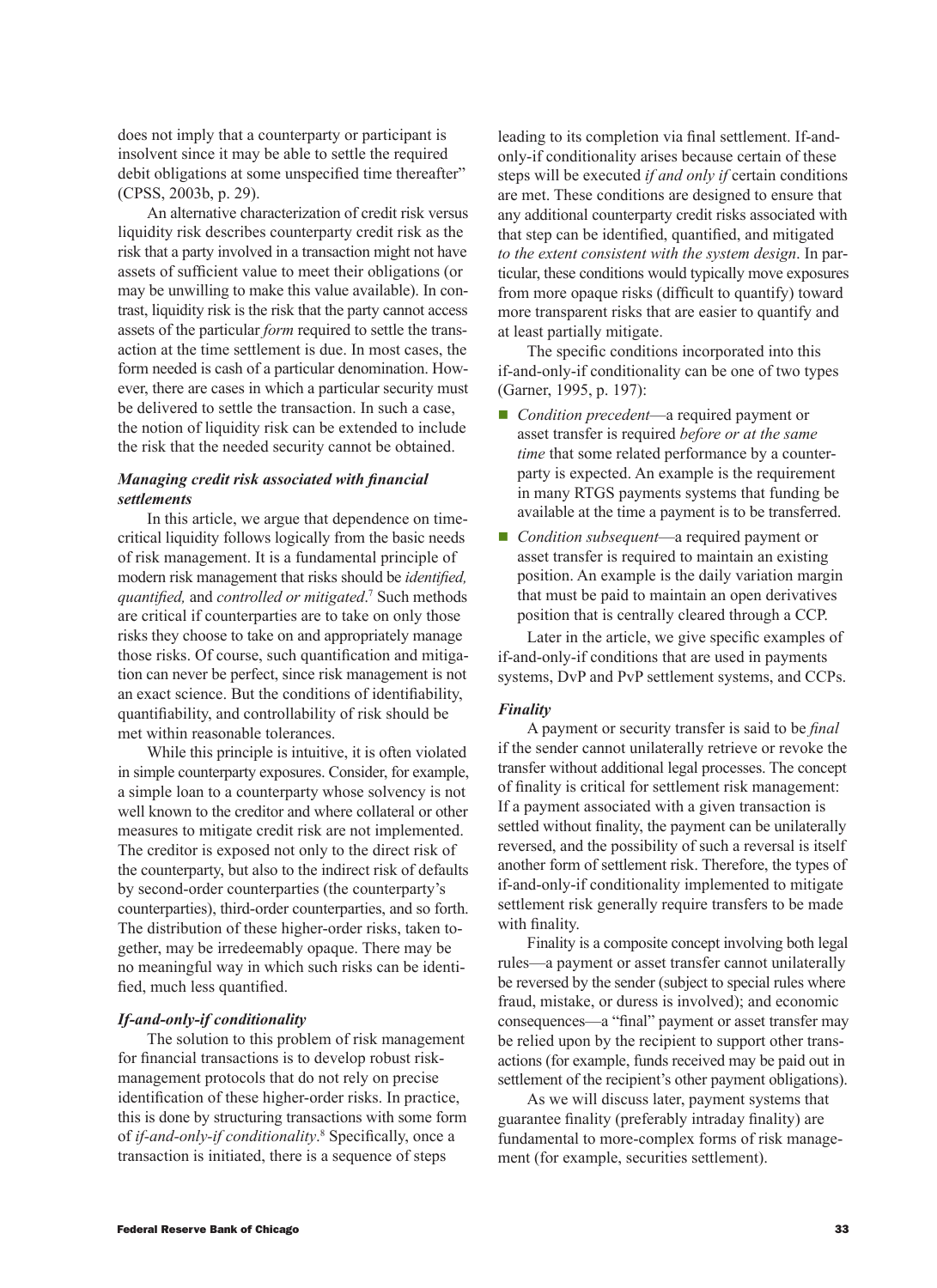does not imply that a counterparty or participant is insolvent since it may be able to settle the required debit obligations at some unspecified time thereafter" (CPSS, 2003b, p. 29).

An alternative characterization of credit risk versus liquidity risk describes counterparty credit risk as the risk that a party involved in a transaction might not have assets of sufficient value to meet their obligations (or may be unwilling to make this value available). In contrast, liquidity risk is the risk that the party cannot access assets of the particular *form* required to settle the transaction at the time settlement is due. In most cases, the form needed is cash of a particular denomination. However, there are cases in which a particular security must be delivered to settle the transaction. In such a case, the notion of liquidity risk can be extended to include the risk that the needed security cannot be obtained.

## *Managing credit risk associated with financial settlements*

In this article, we argue that dependence on timecritical liquidity follows logically from the basic needs of risk management. It is a fundamental principle of modern risk management that risks should be *identified, quantified,* and *controlled or mitigated*. 7 Such methods are critical if counterparties are to take on only those risks they choose to take on and appropriately manage those risks. Of course, such quantification and mitigation can never be perfect, since risk management is not an exact science. But the conditions of identifiability, quantifiability, and controllability of risk should be met within reasonable tolerances.

While this principle is intuitive, it is often violated in simple counterparty exposures. Consider, for example, a simple loan to a counterparty whose solvency is not well known to the creditor and where collateral or other measures to mitigate credit risk are not implemented. The creditor is exposed not only to the direct risk of the counterparty, but also to the indirect risk of defaults by second-order counterparties (the counterparty's counterparties), third-order counterparties, and so forth. The distribution of these higher-order risks, taken together, may be irredeemably opaque. There may be no meaningful way in which such risks can be identified, much less quantified.

### *If-and-only-if conditionality*

The solution to this problem of risk management for financial transactions is to develop robust riskmanagement protocols that do not rely on precise identification of these higher-order risks. In practice, this is done by structuring transactions with some form of *if-and-only-if conditionality*.<sup>8</sup> Specifically, once a transaction is initiated, there is a sequence of steps

leading to its completion via final settlement. If-andonly-if conditionality arises because certain of these steps will be executed *if and only if* certain conditions are met. These conditions are designed to ensure that any additional counterparty credit risks associated with that step can be identified, quantified, and mitigated *to the extent consistent with the system design*. In particular, these conditions would typically move exposures from more opaque risks (difficult to quantify) toward more transparent risks that are easier to quantify and at least partially mitigate.

The specific conditions incorporated into this if-and-only-if conditionality can be one of two types (Garner, 1995, p. 197):

- *Condition precedent*—a required payment or asset transfer is required *before or at the same time* that some related performance by a counterparty is expected. An example is the requirement in many RTGS payments systems that funding be available at the time a payment is to be transferred.
- *Condition subsequent*—a required payment or asset transfer is required to maintain an existing position. An example is the daily variation margin that must be paid to maintain an open derivatives position that is centrally cleared through a CCP.

Later in the article, we give specific examples of if-and-only-if conditions that are used in payments systems, DvP and PvP settlement systems, and CCPs.

### *Finality*

A payment or security transfer is said to be *final* if the sender cannot unilaterally retrieve or revoke the transfer without additional legal processes. The concept of finality is critical for settlement risk management: If a payment associated with a given transaction is settled without finality, the payment can be unilaterally reversed, and the possibility of such a reversal is itself another form of settlement risk. Therefore, the types of if-and-only-if conditionality implemented to mitigate settlement risk generally require transfers to be made with finality.

Finality is a composite concept involving both legal rules—a payment or asset transfer cannot unilaterally be reversed by the sender (subject to special rules where fraud, mistake, or duress is involved); and economic consequences—a "final" payment or asset transfer may be relied upon by the recipient to support other transactions (for example, funds received may be paid out in settlement of the recipient's other payment obligations).

As we will discuss later, payment systems that guarantee finality (preferably intraday finality) are fundamental to more-complex forms of risk management (for example, securities settlement).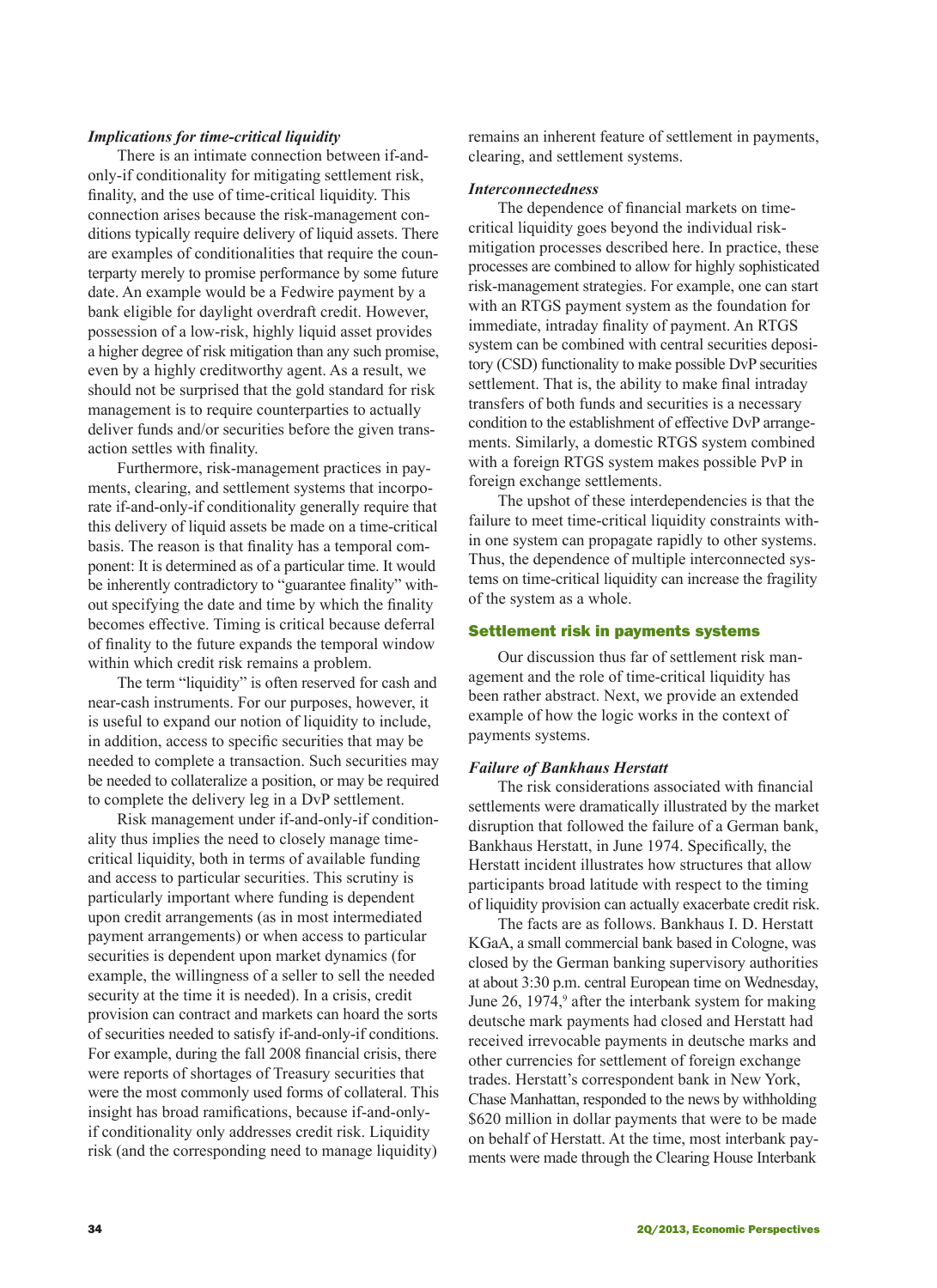### *Implications for time-critical liquidity*

There is an intimate connection between if-andonly-if conditionality for mitigating settlement risk, finality, and the use of time-critical liquidity. This connection arises because the risk-management conditions typically require delivery of liquid assets. There are examples of conditionalities that require the counterparty merely to promise performance by some future date. An example would be a Fedwire payment by a bank eligible for daylight overdraft credit. However, possession of a low-risk, highly liquid asset provides a higher degree of risk mitigation than any such promise, even by a highly creditworthy agent. As a result, we should not be surprised that the gold standard for risk management is to require counterparties to actually deliver funds and/or securities before the given transaction settles with finality.

Furthermore, risk-management practices in payments, clearing, and settlement systems that incorporate if-and-only-if conditionality generally require that this delivery of liquid assets be made on a time-critical basis. The reason is that finality has a temporal component: It is determined as of a particular time. It would be inherently contradictory to "guarantee finality" without specifying the date and time by which the finality becomes effective. Timing is critical because deferral of finality to the future expands the temporal window within which credit risk remains a problem.

The term "liquidity" is often reserved for cash and near-cash instruments. For our purposes, however, it is useful to expand our notion of liquidity to include, in addition, access to specific securities that may be needed to complete a transaction. Such securities may be needed to collateralize a position, or may be required to complete the delivery leg in a DvP settlement.

Risk management under if-and-only-if conditionality thus implies the need to closely manage timecritical liquidity, both in terms of available funding and access to particular securities. This scrutiny is particularly important where funding is dependent upon credit arrangements (as in most intermediated payment arrangements) or when access to particular securities is dependent upon market dynamics (for example, the willingness of a seller to sell the needed security at the time it is needed). In a crisis, credit provision can contract and markets can hoard the sorts of securities needed to satisfy if-and-only-if conditions. For example, during the fall 2008 financial crisis, there were reports of shortages of Treasury securities that were the most commonly used forms of collateral. This insight has broad ramifications, because if-and-onlyif conditionality only addresses credit risk. Liquidity risk (and the corresponding need to manage liquidity)

remains an inherent feature of settlement in payments, clearing, and settlement systems.

#### *Interconnectedness*

The dependence of financial markets on timecritical liquidity goes beyond the individual riskmitigation processes described here. In practice, these processes are combined to allow for highly sophisticated risk-management strategies. For example, one can start with an RTGS payment system as the foundation for immediate, intraday finality of payment. An RTGS system can be combined with central securities depository (CSD) functionality to make possible DvP securities settlement. That is, the ability to make final intraday transfers of both funds and securities is a necessary condition to the establishment of effective DvP arrangements. Similarly, a domestic RTGS system combined with a foreign RTGS system makes possible PvP in foreign exchange settlements.

The upshot of these interdependencies is that the failure to meet time-critical liquidity constraints within one system can propagate rapidly to other systems. Thus, the dependence of multiple interconnected systems on time-critical liquidity can increase the fragility of the system as a whole.

#### Settlement risk in payments systems

Our discussion thus far of settlement risk management and the role of time-critical liquidity has been rather abstract. Next, we provide an extended example of how the logic works in the context of payments systems.

#### *Failure of Bankhaus Herstatt*

The risk considerations associated with financial settlements were dramatically illustrated by the market disruption that followed the failure of a German bank, Bankhaus Herstatt, in June 1974. Specifically, the Herstatt incident illustrates how structures that allow participants broad latitude with respect to the timing of liquidity provision can actually exacerbate credit risk.

The facts are as follows. Bankhaus I. D. Herstatt KGaA, a small commercial bank based in Cologne, was closed by the German banking supervisory authorities at about 3:30 p.m. central European time on Wednesday, June 26, 1974,<sup>9</sup> after the interbank system for making deutsche mark payments had closed and Herstatt had received irrevocable payments in deutsche marks and other currencies for settlement of foreign exchange trades. Herstatt's correspondent bank in New York, Chase Manhattan, responded to the news by withholding \$620 million in dollar payments that were to be made on behalf of Herstatt. At the time, most interbank payments were made through the Clearing House Interbank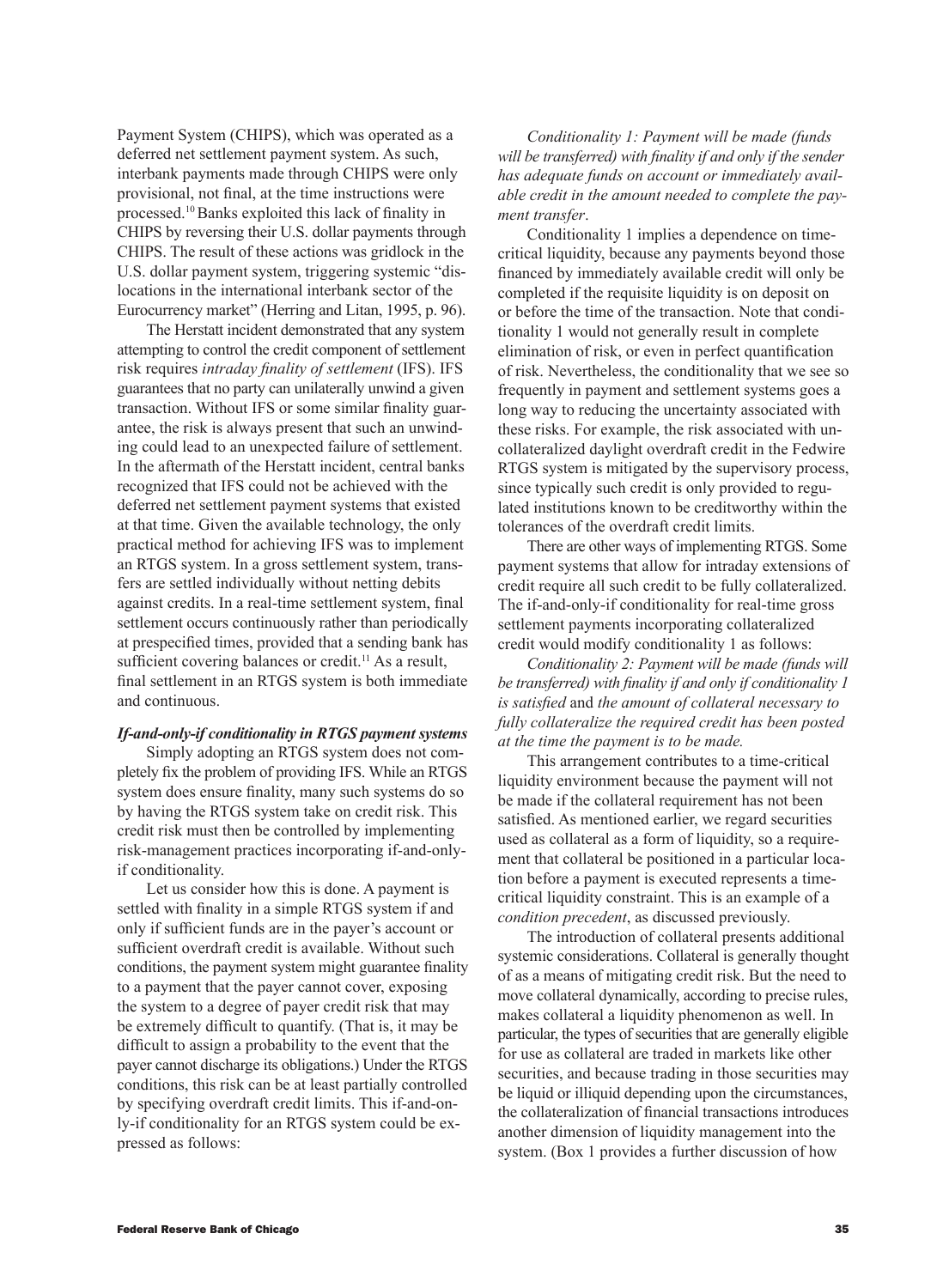Payment System (CHIPS), which was operated as a deferred net settlement payment system. As such, interbank payments made through CHIPS were only provisional, not final, at the time instructions were processed.10 Banks exploited this lack of finality in CHIPS by reversing their U.S. dollar payments through CHIPS. The result of these actions was gridlock in the U.S. dollar payment system, triggering systemic "dislocations in the international interbank sector of the Eurocurrency market" (Herring and Litan, 1995, p. 96).

The Herstatt incident demonstrated that any system attempting to control the credit component of settlement risk requires *intraday finality of settlement* (IFS). IFS guarantees that no party can unilaterally unwind a given transaction. Without IFS or some similar finality guarantee, the risk is always present that such an unwinding could lead to an unexpected failure of settlement. In the aftermath of the Herstatt incident, central banks recognized that IFS could not be achieved with the deferred net settlement payment systems that existed at that time. Given the available technology, the only practical method for achieving IFS was to implement an RTGS system. In a gross settlement system, transfers are settled individually without netting debits against credits. In a real-time settlement system, final settlement occurs continuously rather than periodically at prespecified times, provided that a sending bank has sufficient covering balances or credit.<sup>11</sup> As a result, final settlement in an RTGS system is both immediate and continuous.

## *If-and-only-if conditionality in RTGS payment systems*

Simply adopting an RTGS system does not completely fix the problem of providing IFS. While an RTGS system does ensure finality, many such systems do so by having the RTGS system take on credit risk. This credit risk must then be controlled by implementing risk-management practices incorporating if-and-onlyif conditionality.

Let us consider how this is done. A payment is settled with finality in a simple RTGS system if and only if sufficient funds are in the payer's account or sufficient overdraft credit is available. Without such conditions, the payment system might guarantee finality to a payment that the payer cannot cover, exposing the system to a degree of payer credit risk that may be extremely difficult to quantify. (That is, it may be difficult to assign a probability to the event that the payer cannot discharge its obligations.) Under the RTGS conditions, this risk can be at least partially controlled by specifying overdraft credit limits. This if-and-only-if conditionality for an RTGS system could be expressed as follows:

*Conditionality 1: Payment will be made (funds will be transferred) with finality if and only if the sender has adequate funds on account or immediately available credit in the amount needed to complete the payment transfer*.

Conditionality 1 implies a dependence on timecritical liquidity, because any payments beyond those financed by immediately available credit will only be completed if the requisite liquidity is on deposit on or before the time of the transaction. Note that conditionality 1 would not generally result in complete elimination of risk, or even in perfect quantification of risk. Nevertheless, the conditionality that we see so frequently in payment and settlement systems goes a long way to reducing the uncertainty associated with these risks. For example, the risk associated with uncollateralized daylight overdraft credit in the Fedwire RTGS system is mitigated by the supervisory process, since typically such credit is only provided to regulated institutions known to be creditworthy within the tolerances of the overdraft credit limits.

There are other ways of implementing RTGS. Some payment systems that allow for intraday extensions of credit require all such credit to be fully collateralized. The if-and-only-if conditionality for real-time gross settlement payments incorporating collateralized credit would modify conditionality 1 as follows:

*Conditionality 2: Payment will be made (funds will be transferred) with finality if and only if conditionality 1 is satisfied* and *the amount of collateral necessary to fully collateralize the required credit has been posted at the time the payment is to be made.*

This arrangement contributes to a time-critical liquidity environment because the payment will not be made if the collateral requirement has not been satisfied. As mentioned earlier, we regard securities used as collateral as a form of liquidity, so a requirement that collateral be positioned in a particular location before a payment is executed represents a timecritical liquidity constraint. This is an example of a *condition precedent*, as discussed previously.

The introduction of collateral presents additional systemic considerations. Collateral is generally thought of as a means of mitigating credit risk. But the need to move collateral dynamically, according to precise rules, makes collateral a liquidity phenomenon as well. In particular, the types of securities that are generally eligible for use as collateral are traded in markets like other securities, and because trading in those securities may be liquid or illiquid depending upon the circumstances, the collateralization of financial transactions introduces another dimension of liquidity management into the system. (Box 1 provides a further discussion of how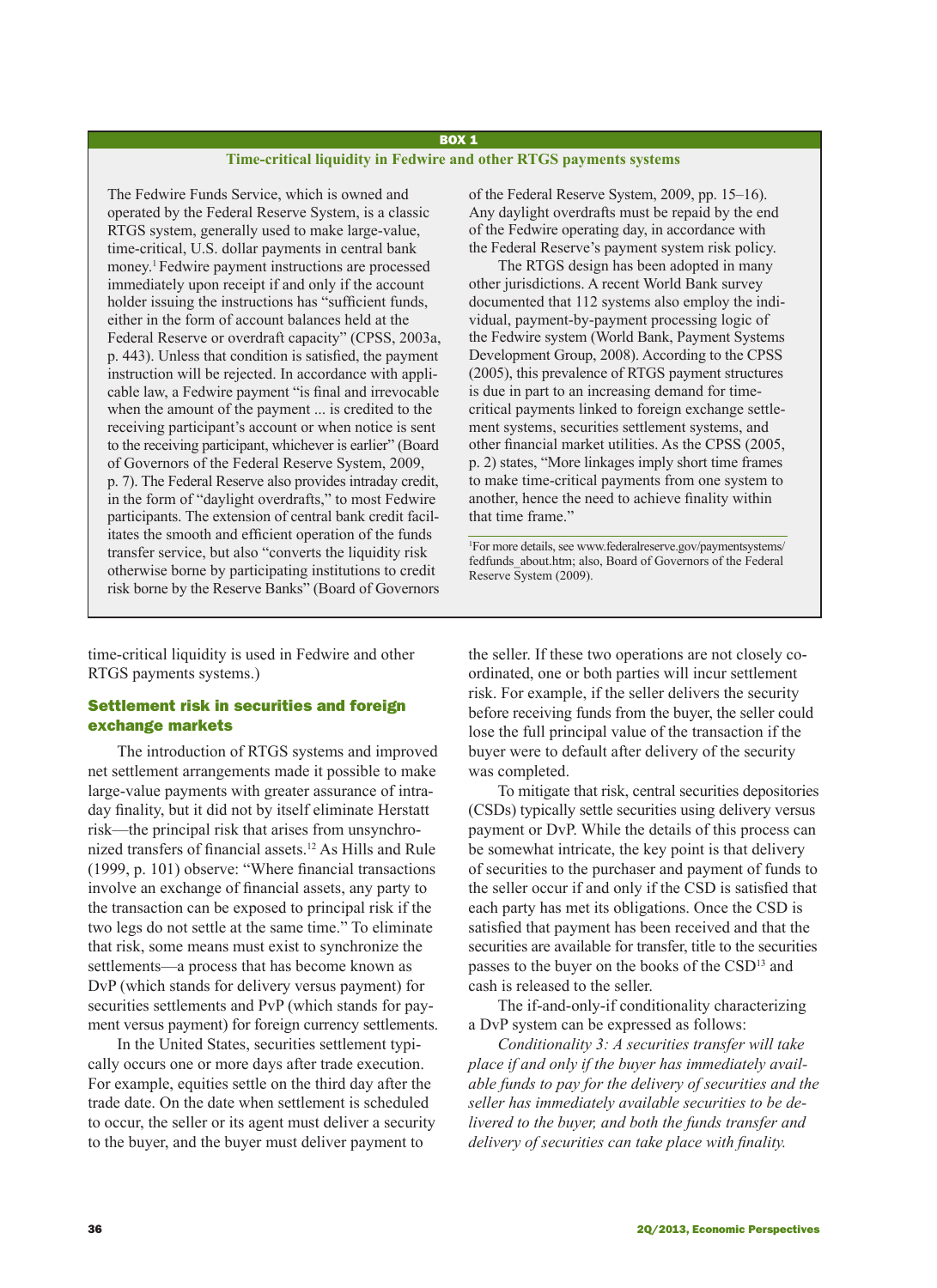#### BOX 1

### **Time-critical liquidity in Fedwire and other RTGS payments systems**

The Fedwire Funds Service, which is owned and operated by the Federal Reserve System, is a classic RTGS system, generally used to make large-value, time-critical, U.S. dollar payments in central bank money.<sup>1</sup> Fedwire payment instructions are processed immediately upon receipt if and only if the account holder issuing the instructions has "sufficient funds, either in the form of account balances held at the Federal Reserve or overdraft capacity" (CPSS, 2003a, p. 443). Unless that condition is satisfied, the payment instruction will be rejected. In accordance with applicable law, a Fedwire payment "is final and irrevocable when the amount of the payment ... is credited to the receiving participant's account or when notice is sent to the receiving participant, whichever is earlier" (Board of Governors of the Federal Reserve System, 2009, p. 7). The Federal Reserve also provides intraday credit, in the form of "daylight overdrafts," to most Fedwire participants. The extension of central bank credit facilitates the smooth and efficient operation of the funds transfer service, but also "converts the liquidity risk otherwise borne by participating institutions to credit risk borne by the Reserve Banks" (Board of Governors

time-critical liquidity is used in Fedwire and other RTGS payments systems.)

## Settlement risk in securities and foreign exchange markets

The introduction of RTGS systems and improved net settlement arrangements made it possible to make large-value payments with greater assurance of intraday finality, but it did not by itself eliminate Herstatt risk—the principal risk that arises from unsynchronized transfers of financial assets.12 As Hills and Rule (1999, p. 101) observe: "Where financial transactions involve an exchange of financial assets, any party to the transaction can be exposed to principal risk if the two legs do not settle at the same time." To eliminate that risk, some means must exist to synchronize the settlements—a process that has become known as DvP (which stands for delivery versus payment) for securities settlements and PvP (which stands for payment versus payment) for foreign currency settlements.

In the United States, securities settlement typically occurs one or more days after trade execution. For example, equities settle on the third day after the trade date. On the date when settlement is scheduled to occur, the seller or its agent must deliver a security to the buyer, and the buyer must deliver payment to

of the Federal Reserve System, 2009, pp. 15–16). Any daylight overdrafts must be repaid by the end of the Fedwire operating day, in accordance with the Federal Reserve's payment system risk policy.

The RTGS design has been adopted in many other jurisdictions. A recent World Bank survey documented that 112 systems also employ the individual, payment-by-payment processing logic of the Fedwire system (World Bank, Payment Systems Development Group, 2008). According to the CPSS (2005), this prevalence of RTGS payment structures is due in part to an increasing demand for timecritical payments linked to foreign exchange settlement systems, securities settlement systems, and other financial market utilities. As the CPSS (2005, p. 2) states, "More linkages imply short time frames to make time-critical payments from one system to another, hence the need to achieve finality within that time frame."

1 For more details, see www.federalreserve.gov/paymentsystems/ fedfunds\_about.htm; also, Board of Governors of the Federal Reserve System (2009).

the seller. If these two operations are not closely coordinated, one or both parties will incur settlement risk. For example, if the seller delivers the security before receiving funds from the buyer, the seller could lose the full principal value of the transaction if the buyer were to default after delivery of the security was completed.

To mitigate that risk, central securities depositories (CSDs) typically settle securities using delivery versus payment or DvP. While the details of this process can be somewhat intricate, the key point is that delivery of securities to the purchaser and payment of funds to the seller occur if and only if the CSD is satisfied that each party has met its obligations. Once the CSD is satisfied that payment has been received and that the securities are available for transfer, title to the securities passes to the buyer on the books of the CSD13 and cash is released to the seller.

The if-and-only-if conditionality characterizing a DvP system can be expressed as follows:

*Conditionality 3: A securities transfer will take place if and only if the buyer has immediately available funds to pay for the delivery of securities and the seller has immediately available securities to be delivered to the buyer, and both the funds transfer and delivery of securities can take place with finality.*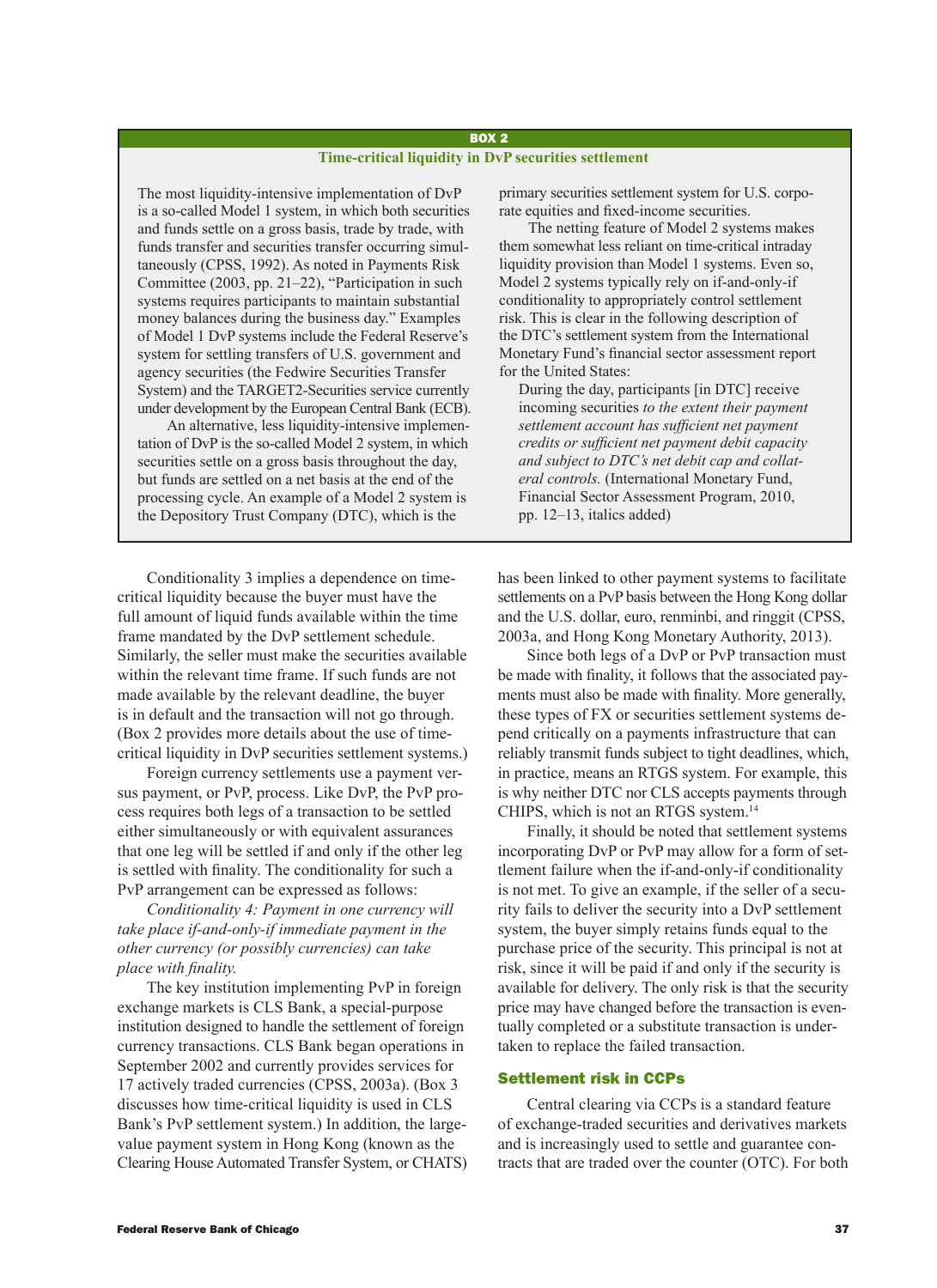### BOX 2 **Time-critical liquidity in DvP securities settlement**

The most liquidity-intensive implementation of DvP is a so-called Model 1 system, in which both securities and funds settle on a gross basis, trade by trade, with funds transfer and securities transfer occurring simultaneously (CPSS, 1992). As noted in Payments Risk Committee (2003, pp. 21–22), "Participation in such systems requires participants to maintain substantial money balances during the business day." Examples of Model 1 DvP systems include the Federal Reserve's system for settling transfers of U.S. government and agency securities (the Fedwire Securities Transfer System) and the TARGET2-Securities service currently under development by the European Central Bank (ECB).

An alternative, less liquidity-intensive implementation of DvP is the so-called Model 2 system, in which securities settle on a gross basis throughout the day, but funds are settled on a net basis at the end of the processing cycle. An example of a Model 2 system is the Depository Trust Company (DTC), which is the

Conditionality 3 implies a dependence on timecritical liquidity because the buyer must have the full amount of liquid funds available within the time frame mandated by the DvP settlement schedule. Similarly, the seller must make the securities available within the relevant time frame. If such funds are not made available by the relevant deadline, the buyer is in default and the transaction will not go through. (Box 2 provides more details about the use of timecritical liquidity in DvP securities settlement systems.)

Foreign currency settlements use a payment versus payment, or PvP, process. Like DvP, the PvP process requires both legs of a transaction to be settled either simultaneously or with equivalent assurances that one leg will be settled if and only if the other leg is settled with finality. The conditionality for such a PvP arrangement can be expressed as follows:

*Conditionality 4: Payment in one currency will take place if-and-only-if immediate payment in the other currency (or possibly currencies) can take place with finality.*

The key institution implementing PvP in foreign exchange markets is CLS Bank, a special-purpose institution designed to handle the settlement of foreign currency transactions. CLS Bank began operations in September 2002 and currently provides services for 17 actively traded currencies (CPSS, 2003a). (Box 3 discusses how time-critical liquidity is used in CLS Bank's PvP settlement system.) In addition, the largevalue payment system in Hong Kong (known as the Clearing House Automated Transfer System, or CHATS) primary securities settlement system for U.S. corporate equities and fixed-income securities.

The netting feature of Model 2 systems makes them somewhat less reliant on time-critical intraday liquidity provision than Model 1 systems. Even so, Model 2 systems typically rely on if-and-only-if conditionality to appropriately control settlement risk. This is clear in the following description of the DTC's settlement system from the International Monetary Fund's financial sector assessment report for the United States:

During the day, participants [in DTC] receive incoming securities *to the extent their payment settlement account has sufficient net payment credits or sufficient net payment debit capacity and subject to DTC's net debit cap and collateral controls.* (International Monetary Fund, Financial Sector Assessment Program, 2010, pp. 12–13, italics added)

has been linked to other payment systems to facilitate settlements on a PvP basis between the Hong Kong dollar and the U.S. dollar, euro, renminbi, and ringgit (CPSS, 2003a, and Hong Kong Monetary Authority, 2013).

Since both legs of a DvP or PvP transaction must be made with finality, it follows that the associated payments must also be made with finality. More generally, these types of FX or securities settlement systems depend critically on a payments infrastructure that can reliably transmit funds subject to tight deadlines, which, in practice, means an RTGS system. For example, this is why neither DTC nor CLS accepts payments through CHIPS, which is not an RTGS system.<sup>14</sup>

Finally, it should be noted that settlement systems incorporating DvP or PvP may allow for a form of settlement failure when the if-and-only-if conditionality is not met. To give an example, if the seller of a security fails to deliver the security into a DvP settlement system, the buyer simply retains funds equal to the purchase price of the security. This principal is not at risk, since it will be paid if and only if the security is available for delivery. The only risk is that the security price may have changed before the transaction is eventually completed or a substitute transaction is undertaken to replace the failed transaction.

## Settlement risk in CCPs

Central clearing via CCPs is a standard feature of exchange-traded securities and derivatives markets and is increasingly used to settle and guarantee contracts that are traded over the counter (OTC). For both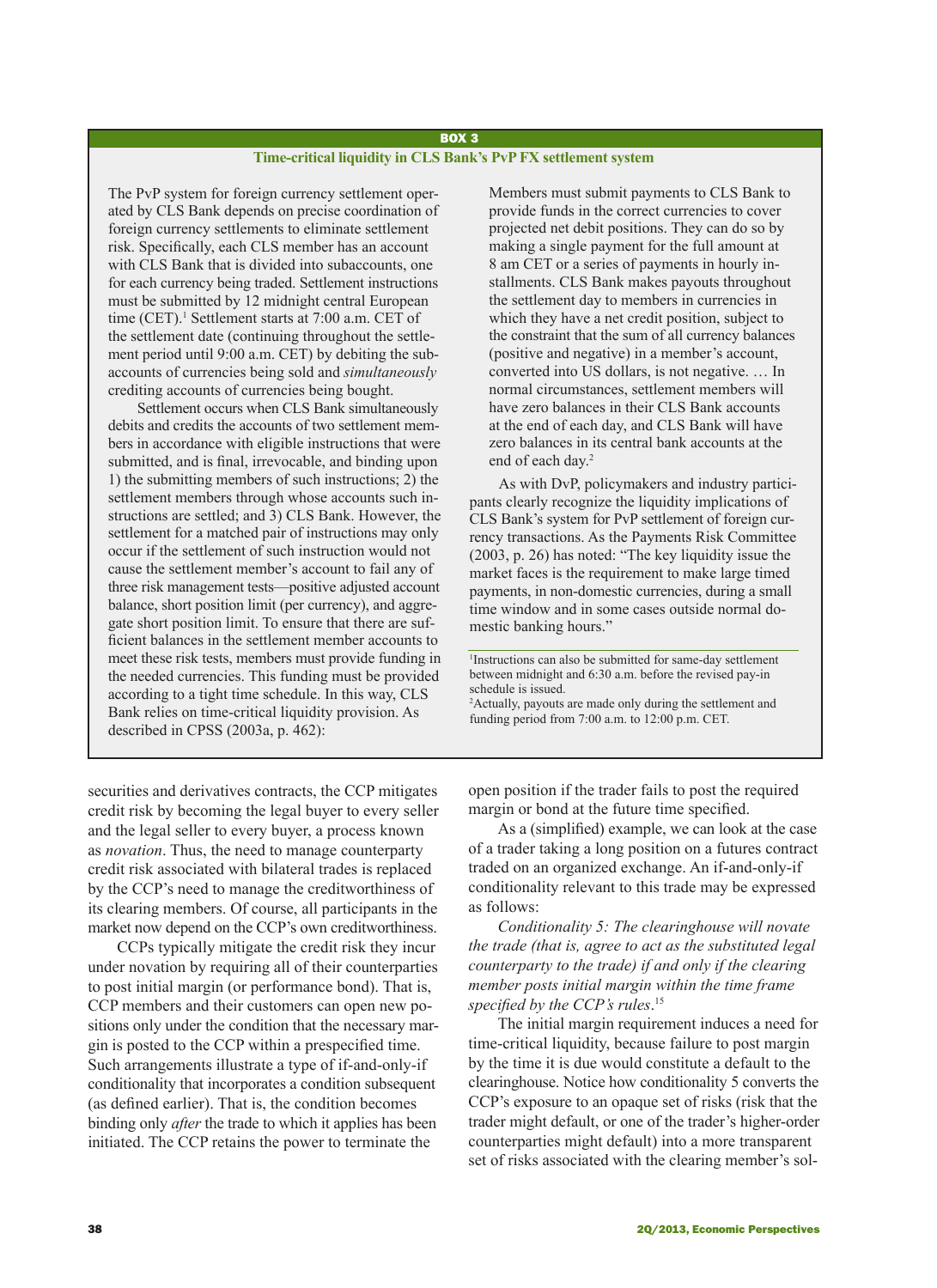## BOX 3 **Time-critical liquidity in CLS Bank's PvP FX settlement system**

The PvP system for foreign currency settlement operated by CLS Bank depends on precise coordination of foreign currency settlements to eliminate settlement risk. Specifically, each CLS member has an account with CLS Bank that is divided into subaccounts, one for each currency being traded. Settlement instructions must be submitted by 12 midnight central European time (CET).<sup>1</sup> Settlement starts at 7:00 a.m. CET of the settlement date (continuing throughout the settlement period until 9:00 a.m. CET) by debiting the subaccounts of currencies being sold and *simultaneously* crediting accounts of currencies being bought.

Settlement occurs when CLS Bank simultaneously debits and credits the accounts of two settlement members in accordance with eligible instructions that were submitted, and is final, irrevocable, and binding upon 1) the submitting members of such instructions; 2) the settlement members through whose accounts such instructions are settled; and 3) CLS Bank. However, the settlement for a matched pair of instructions may only occur if the settlement of such instruction would not cause the settlement member's account to fail any of three risk management tests—positive adjusted account balance, short position limit (per currency), and aggregate short position limit. To ensure that there are sufficient balances in the settlement member accounts to meet these risk tests, members must provide funding in the needed currencies. This funding must be provided according to a tight time schedule. In this way, CLS Bank relies on time-critical liquidity provision. As described in CPSS (2003a, p. 462):

Members must submit payments to CLS Bank to provide funds in the correct currencies to cover projected net debit positions. They can do so by making a single payment for the full amount at 8 am CET or a series of payments in hourly installments. CLS Bank makes payouts throughout the settlement day to members in currencies in which they have a net credit position, subject to the constraint that the sum of all currency balances (positive and negative) in a member's account, converted into US dollars, is not negative. … In normal circumstances, settlement members will have zero balances in their CLS Bank accounts at the end of each day, and CLS Bank will have zero balances in its central bank accounts at the end of each day.2

As with DvP, policymakers and industry participants clearly recognize the liquidity implications of CLS Bank's system for PvP settlement of foreign currency transactions. As the Payments Risk Committee (2003, p. 26) has noted: "The key liquidity issue the market faces is the requirement to make large timed payments, in non-domestic currencies, during a small time window and in some cases outside normal domestic banking hours."

1 Instructions can also be submitted for same-day settlement between midnight and 6:30 a.m. before the revised pay-in schedule is issued.

2 Actually, payouts are made only during the settlement and funding period from 7:00 a.m. to 12:00 p.m. CET.

securities and derivatives contracts, the CCP mitigates credit risk by becoming the legal buyer to every seller and the legal seller to every buyer, a process known as *novation*. Thus, the need to manage counterparty credit risk associated with bilateral trades is replaced by the CCP's need to manage the creditworthiness of its clearing members. Of course, all participants in the market now depend on the CCP's own creditworthiness.

CCPs typically mitigate the credit risk they incur under novation by requiring all of their counterparties to post initial margin (or performance bond). That is, CCP members and their customers can open new positions only under the condition that the necessary margin is posted to the CCP within a prespecified time. Such arrangements illustrate a type of if-and-only-if conditionality that incorporates a condition subsequent (as defined earlier). That is, the condition becomes binding only *after* the trade to which it applies has been initiated. The CCP retains the power to terminate the

open position if the trader fails to post the required margin or bond at the future time specified.

As a (simplified) example, we can look at the case of a trader taking a long position on a futures contract traded on an organized exchange. An if-and-only-if conditionality relevant to this trade may be expressed as follows:

*Conditionality 5: The clearinghouse will novate the trade (that is, agree to act as the substituted legal counterparty to the trade) if and only if the clearing member posts initial margin within the time frame specified by the CCP's rules*. 15

The initial margin requirement induces a need for time-critical liquidity, because failure to post margin by the time it is due would constitute a default to the clearinghouse. Notice how conditionality 5 converts the CCP's exposure to an opaque set of risks (risk that the trader might default, or one of the trader's higher-order counterparties might default) into a more transparent set of risks associated with the clearing member's sol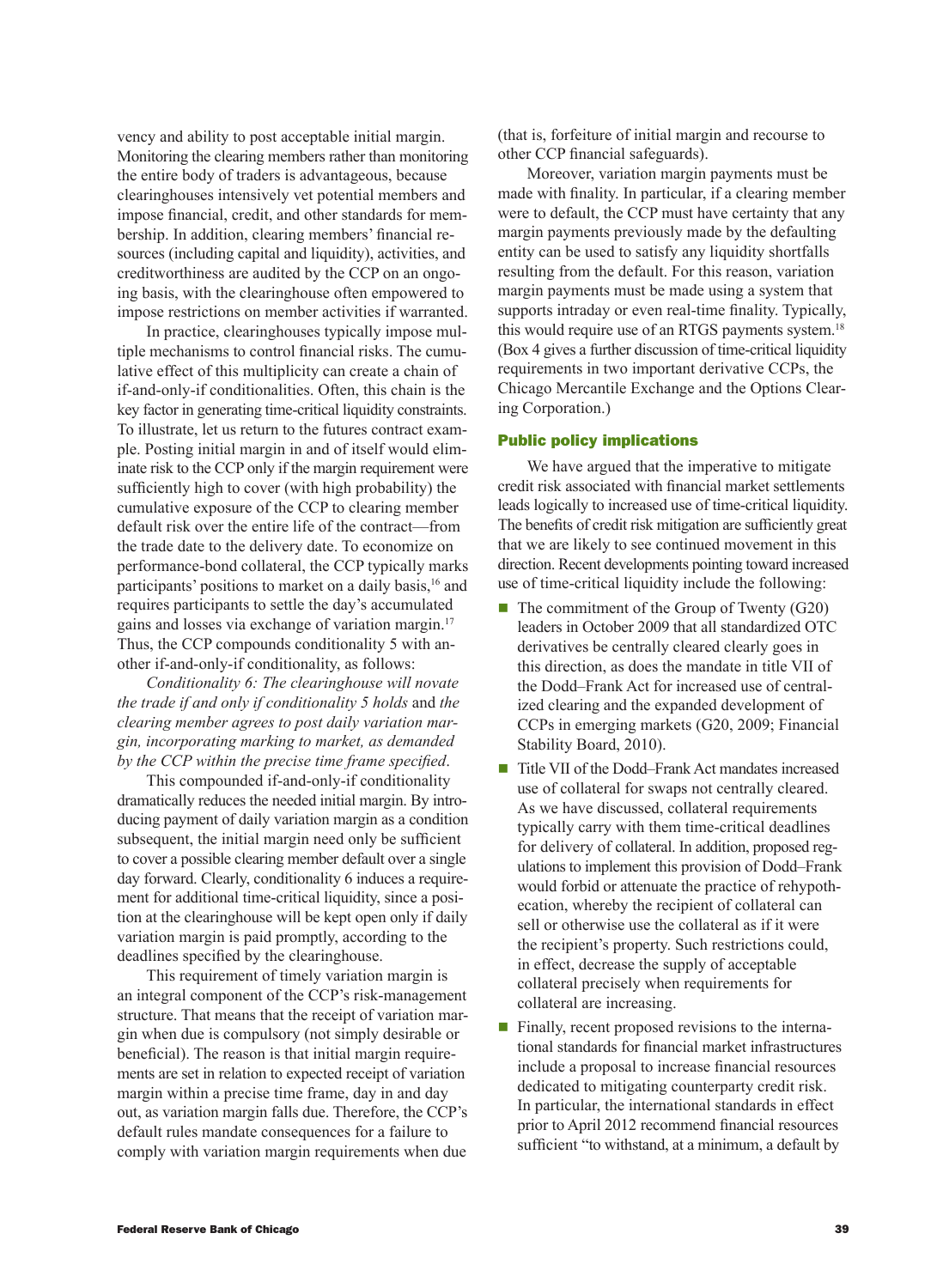vency and ability to post acceptable initial margin. Monitoring the clearing members rather than monitoring the entire body of traders is advantageous, because clearinghouses intensively vet potential members and impose financial, credit, and other standards for membership. In addition, clearing members' financial resources (including capital and liquidity), activities, and creditworthiness are audited by the CCP on an ongoing basis, with the clearinghouse often empowered to impose restrictions on member activities if warranted.

In practice, clearinghouses typically impose multiple mechanisms to control financial risks. The cumulative effect of this multiplicity can create a chain of if-and-only-if conditionalities. Often, this chain is the key factor in generating time-critical liquidity constraints. To illustrate, let us return to the futures contract example. Posting initial margin in and of itself would eliminate risk to the CCP only if the margin requirement were sufficiently high to cover (with high probability) the cumulative exposure of the CCP to clearing member default risk over the entire life of the contract—from the trade date to the delivery date. To economize on performance-bond collateral, the CCP typically marks participants' positions to market on a daily basis,<sup>16</sup> and requires participants to settle the day's accumulated gains and losses via exchange of variation margin.17 Thus, the CCP compounds conditionality 5 with another if-and-only-if conditionality, as follows:

*Conditionality 6: The clearinghouse will novate the trade if and only if conditionality 5 holds* and *the clearing member agrees to post daily variation margin, incorporating marking to market, as demanded by the CCP within the precise time frame specified*.

This compounded if-and-only-if conditionality dramatically reduces the needed initial margin. By introducing payment of daily variation margin as a condition subsequent, the initial margin need only be sufficient to cover a possible clearing member default over a single day forward. Clearly, conditionality 6 induces a requirement for additional time-critical liquidity, since a position at the clearinghouse will be kept open only if daily variation margin is paid promptly, according to the deadlines specified by the clearinghouse.

This requirement of timely variation margin is an integral component of the CCP's risk-management structure. That means that the receipt of variation margin when due is compulsory (not simply desirable or beneficial). The reason is that initial margin requirements are set in relation to expected receipt of variation margin within a precise time frame, day in and day out, as variation margin falls due. Therefore, the CCP's default rules mandate consequences for a failure to comply with variation margin requirements when due (that is, forfeiture of initial margin and recourse to other CCP financial safeguards).

Moreover, variation margin payments must be made with finality. In particular, if a clearing member were to default, the CCP must have certainty that any margin payments previously made by the defaulting entity can be used to satisfy any liquidity shortfalls resulting from the default. For this reason, variation margin payments must be made using a system that supports intraday or even real-time finality. Typically, this would require use of an RTGS payments system.<sup>18</sup> (Box 4 gives a further discussion of time-critical liquidity requirements in two important derivative CCPs, the Chicago Mercantile Exchange and the Options Clearing Corporation.)

### Public policy implications

We have argued that the imperative to mitigate credit risk associated with financial market settlements leads logically to increased use of time-critical liquidity. The benefits of credit risk mitigation are sufficiently great that we are likely to see continued movement in this direction. Recent developments pointing toward increased use of time-critical liquidity include the following:

- $\blacksquare$  The commitment of the Group of Twenty (G20) leaders in October 2009 that all standardized OTC derivatives be centrally cleared clearly goes in this direction, as does the mandate in title VII of the Dodd–Frank Act for increased use of centralized clearing and the expanded development of CCPs in emerging markets (G20, 2009; Financial Stability Board, 2010).
- Title VII of the Dodd–Frank Act mandates increased use of collateral for swaps not centrally cleared. As we have discussed, collateral requirements typically carry with them time-critical deadlines for delivery of collateral. In addition, proposed regulations to implement this provision of Dodd–Frank would forbid or attenuate the practice of rehypothecation, whereby the recipient of collateral can sell or otherwise use the collateral as if it were the recipient's property. Such restrictions could, in effect, decrease the supply of acceptable collateral precisely when requirements for collateral are increasing.
- $\blacksquare$  Finally, recent proposed revisions to the international standards for financial market infrastructures include a proposal to increase financial resources dedicated to mitigating counterparty credit risk. In particular, the international standards in effect prior to April 2012 recommend financial resources sufficient "to withstand, at a minimum, a default by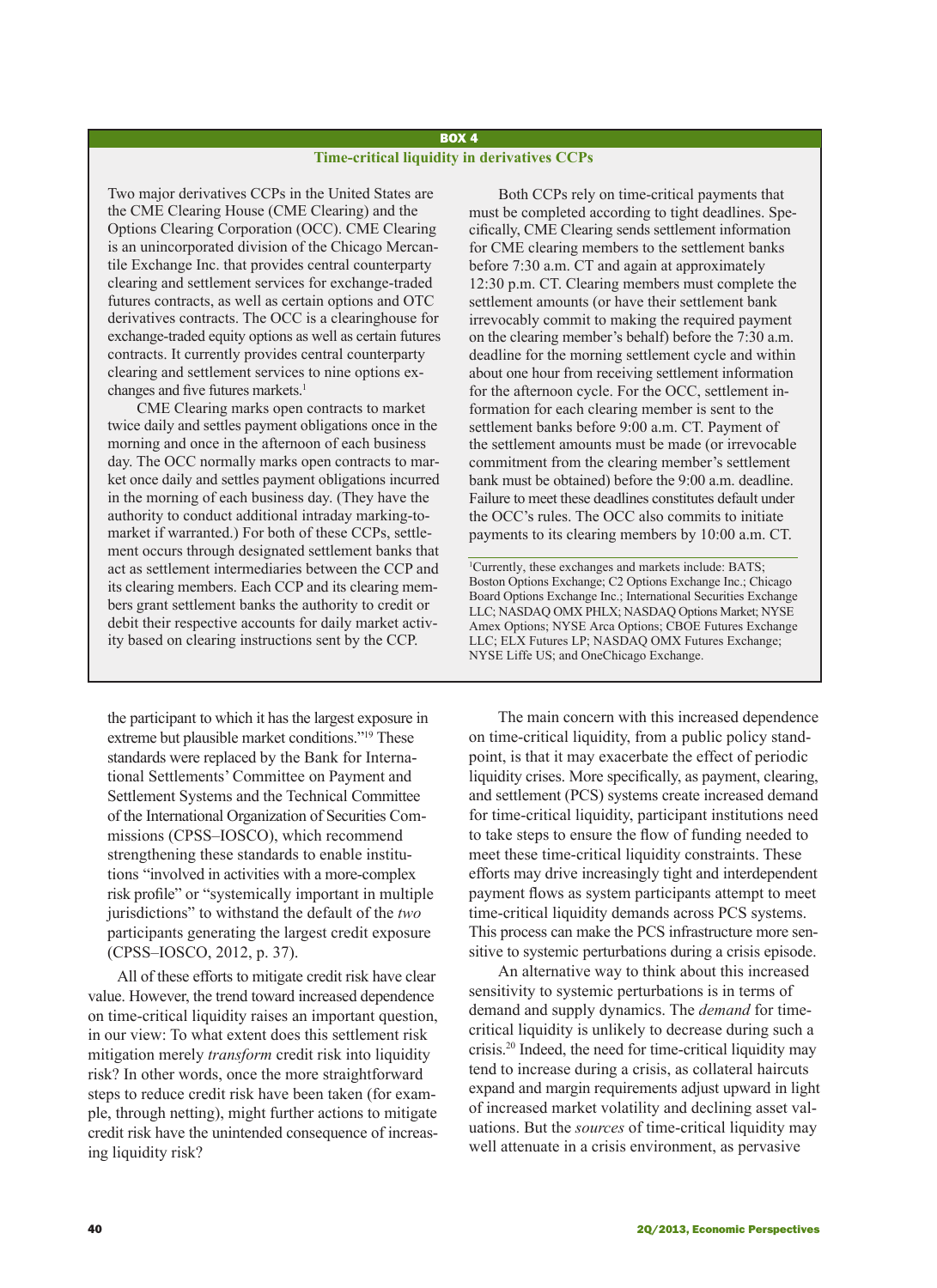### BOX 4 **Time-critical liquidity in derivatives CCPs**

Two major derivatives CCPs in the United States are the CME Clearing House (CME Clearing) and the Options Clearing Corporation (OCC). CME Clearing is an unincorporated division of the Chicago Mercantile Exchange Inc. that provides central counterparty clearing and settlement services for exchange-traded futures contracts, as well as certain options and OTC derivatives contracts. The OCC is a clearinghouse for exchange-traded equity options as well as certain futures contracts. It currently provides central counterparty clearing and settlement services to nine options exchanges and five futures markets.<sup>1</sup>

CME Clearing marks open contracts to market twice daily and settles payment obligations once in the morning and once in the afternoon of each business day. The OCC normally marks open contracts to market once daily and settles payment obligations incurred in the morning of each business day. (They have the authority to conduct additional intraday marking-tomarket if warranted.) For both of these CCPs, settlement occurs through designated settlement banks that act as settlement intermediaries between the CCP and its clearing members. Each CCP and its clearing members grant settlement banks the authority to credit or debit their respective accounts for daily market activity based on clearing instructions sent by the CCP.

the participant to which it has the largest exposure in extreme but plausible market conditions."19 These standards were replaced by the Bank for International Settlements' Committee on Payment and Settlement Systems and the Technical Committee of the International Organization of Securities Commissions (CPSS–IOSCO), which recommend strengthening these standards to enable institutions "involved in activities with a more-complex risk profile" or "systemically important in multiple jurisdictions" to withstand the default of the *two* participants generating the largest credit exposure (CPSS–IOSCO, 2012, p. 37).

All of these efforts to mitigate credit risk have clear value. However, the trend toward increased dependence on time-critical liquidity raises an important question, in our view: To what extent does this settlement risk mitigation merely *transform* credit risk into liquidity risk? In other words, once the more straightforward steps to reduce credit risk have been taken (for example, through netting), might further actions to mitigate credit risk have the unintended consequence of increasing liquidity risk?

Both CCPs rely on time-critical payments that must be completed according to tight deadlines. Specifically, CME Clearing sends settlement information for CME clearing members to the settlement banks before 7:30 a.m. CT and again at approximately 12:30 p.m. CT. Clearing members must complete the settlement amounts (or have their settlement bank irrevocably commit to making the required payment on the clearing member's behalf) before the 7:30 a.m. deadline for the morning settlement cycle and within about one hour from receiving settlement information for the afternoon cycle. For the OCC, settlement information for each clearing member is sent to the settlement banks before 9:00 a.m. CT. Payment of the settlement amounts must be made (or irrevocable commitment from the clearing member's settlement bank must be obtained) before the 9:00 a.m. deadline. Failure to meet these deadlines constitutes default under the OCC's rules. The OCC also commits to initiate payments to its clearing members by 10:00 a.m. CT.

1 Currently, these exchanges and markets include: BATS; Boston Options Exchange; C2 Options Exchange Inc.; Chicago Board Options Exchange Inc.; International Securities Exchange LLC; NASDAQ OMX PHLX; NASDAQ Options Market; NYSE Amex Options; NYSE Arca Options; CBOE Futures Exchange LLC; ELX Futures LP; NASDAQ OMX Futures Exchange; NYSE Liffe US; and OneChicago Exchange.

The main concern with this increased dependence on time-critical liquidity, from a public policy standpoint, is that it may exacerbate the effect of periodic liquidity crises. More specifically, as payment, clearing, and settlement (PCS) systems create increased demand for time-critical liquidity, participant institutions need to take steps to ensure the flow of funding needed to meet these time-critical liquidity constraints. These efforts may drive increasingly tight and interdependent payment flows as system participants attempt to meet time-critical liquidity demands across PCS systems. This process can make the PCS infrastructure more sensitive to systemic perturbations during a crisis episode.

An alternative way to think about this increased sensitivity to systemic perturbations is in terms of demand and supply dynamics. The *demand* for timecritical liquidity is unlikely to decrease during such a crisis.20 Indeed, the need for time-critical liquidity may tend to increase during a crisis, as collateral haircuts expand and margin requirements adjust upward in light of increased market volatility and declining asset valuations. But the *sources* of time-critical liquidity may well attenuate in a crisis environment, as pervasive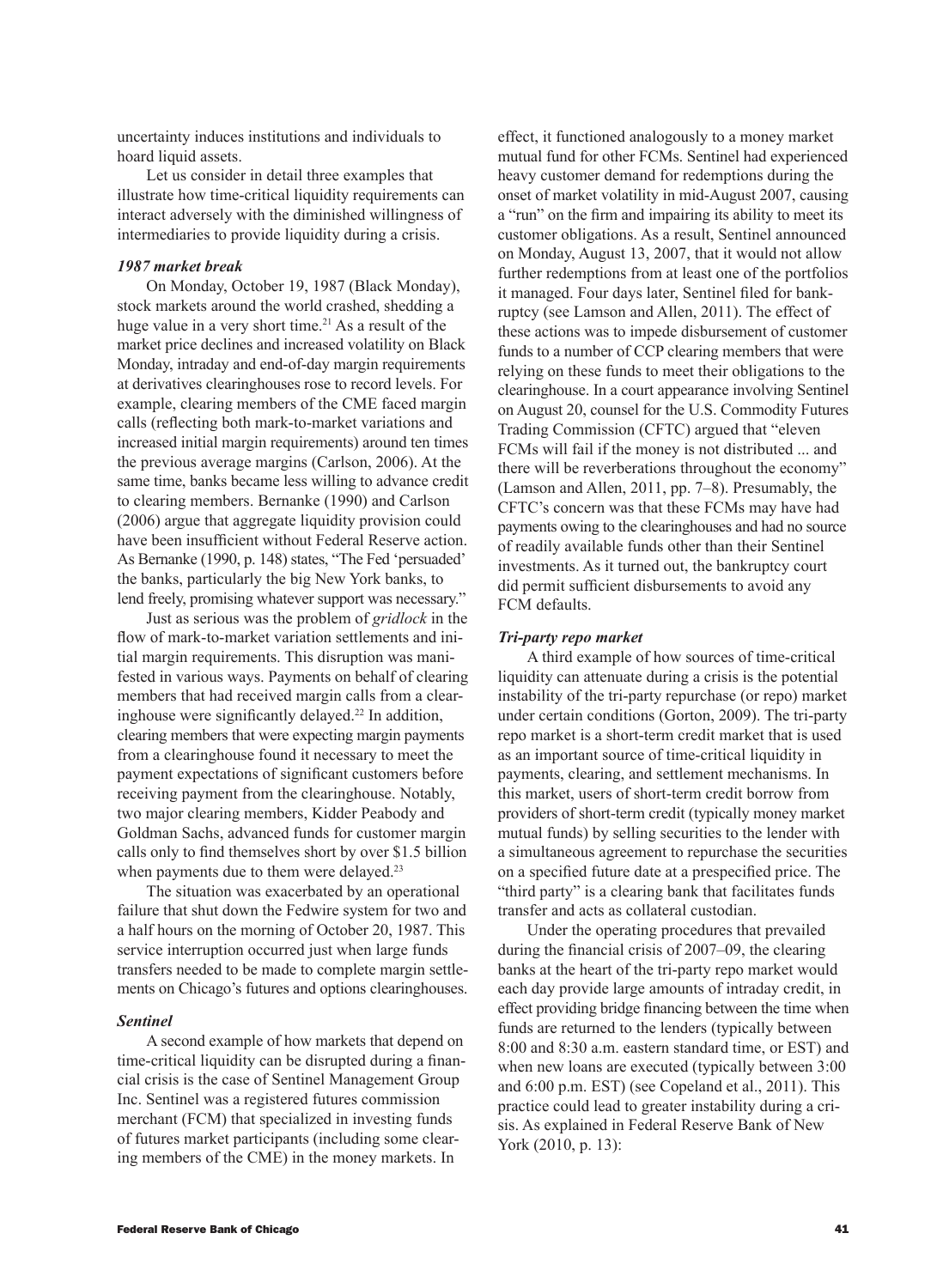uncertainty induces institutions and individuals to hoard liquid assets.

Let us consider in detail three examples that illustrate how time-critical liquidity requirements can interact adversely with the diminished willingness of intermediaries to provide liquidity during a crisis.

### *1987 market break*

On Monday, October 19, 1987 (Black Monday), stock markets around the world crashed, shedding a huge value in a very short time.<sup>21</sup> As a result of the market price declines and increased volatility on Black Monday, intraday and end-of-day margin requirements at derivatives clearinghouses rose to record levels. For example, clearing members of the CME faced margin calls (reflecting both mark-to-market variations and increased initial margin requirements) around ten times the previous average margins (Carlson, 2006). At the same time, banks became less willing to advance credit to clearing members. Bernanke (1990) and Carlson (2006) argue that aggregate liquidity provision could have been insufficient without Federal Reserve action. As Bernanke (1990, p. 148) states, "The Fed 'persuaded' the banks, particularly the big New York banks, to lend freely, promising whatever support was necessary."

Just as serious was the problem of *gridlock* in the flow of mark-to-market variation settlements and initial margin requirements. This disruption was manifested in various ways. Payments on behalf of clearing members that had received margin calls from a clearinghouse were significantly delayed.<sup>22</sup> In addition, clearing members that were expecting margin payments from a clearinghouse found it necessary to meet the payment expectations of significant customers before receiving payment from the clearinghouse. Notably, two major clearing members, Kidder Peabody and Goldman Sachs, advanced funds for customer margin calls only to find themselves short by over \$1.5 billion when payments due to them were delayed.<sup>23</sup>

The situation was exacerbated by an operational failure that shut down the Fedwire system for two and a half hours on the morning of October 20, 1987. This service interruption occurred just when large funds transfers needed to be made to complete margin settlements on Chicago's futures and options clearinghouses.

#### *Sentinel*

A second example of how markets that depend on time-critical liquidity can be disrupted during a financial crisis is the case of Sentinel Management Group Inc. Sentinel was a registered futures commission merchant (FCM) that specialized in investing funds of futures market participants (including some clearing members of the CME) in the money markets. In

effect, it functioned analogously to a money market mutual fund for other FCMs. Sentinel had experienced heavy customer demand for redemptions during the onset of market volatility in mid-August 2007, causing a "run" on the firm and impairing its ability to meet its customer obligations. As a result, Sentinel announced on Monday, August 13, 2007, that it would not allow further redemptions from at least one of the portfolios it managed. Four days later, Sentinel filed for bankruptcy (see Lamson and Allen, 2011). The effect of these actions was to impede disbursement of customer funds to a number of CCP clearing members that were relying on these funds to meet their obligations to the clearinghouse. In a court appearance involving Sentinel on August 20, counsel for the U.S. Commodity Futures Trading Commission (CFTC) argued that "eleven FCMs will fail if the money is not distributed ... and there will be reverberations throughout the economy" (Lamson and Allen, 2011, pp. 7–8). Presumably, the CFTC's concern was that these FCMs may have had payments owing to the clearinghouses and had no source of readily available funds other than their Sentinel investments. As it turned out, the bankruptcy court did permit sufficient disbursements to avoid any FCM defaults.

### *Tri-party repo market*

A third example of how sources of time-critical liquidity can attenuate during a crisis is the potential instability of the tri-party repurchase (or repo) market under certain conditions (Gorton, 2009). The tri-party repo market is a short-term credit market that is used as an important source of time-critical liquidity in payments, clearing, and settlement mechanisms. In this market, users of short-term credit borrow from providers of short-term credit (typically money market mutual funds) by selling securities to the lender with a simultaneous agreement to repurchase the securities on a specified future date at a prespecified price. The "third party" is a clearing bank that facilitates funds transfer and acts as collateral custodian.

Under the operating procedures that prevailed during the financial crisis of 2007–09, the clearing banks at the heart of the tri-party repo market would each day provide large amounts of intraday credit, in effect providing bridge financing between the time when funds are returned to the lenders (typically between 8:00 and 8:30 a.m. eastern standard time, or EST) and when new loans are executed (typically between 3:00 and 6:00 p.m. EST) (see Copeland et al., 2011). This practice could lead to greater instability during a crisis. As explained in Federal Reserve Bank of New York (2010, p. 13):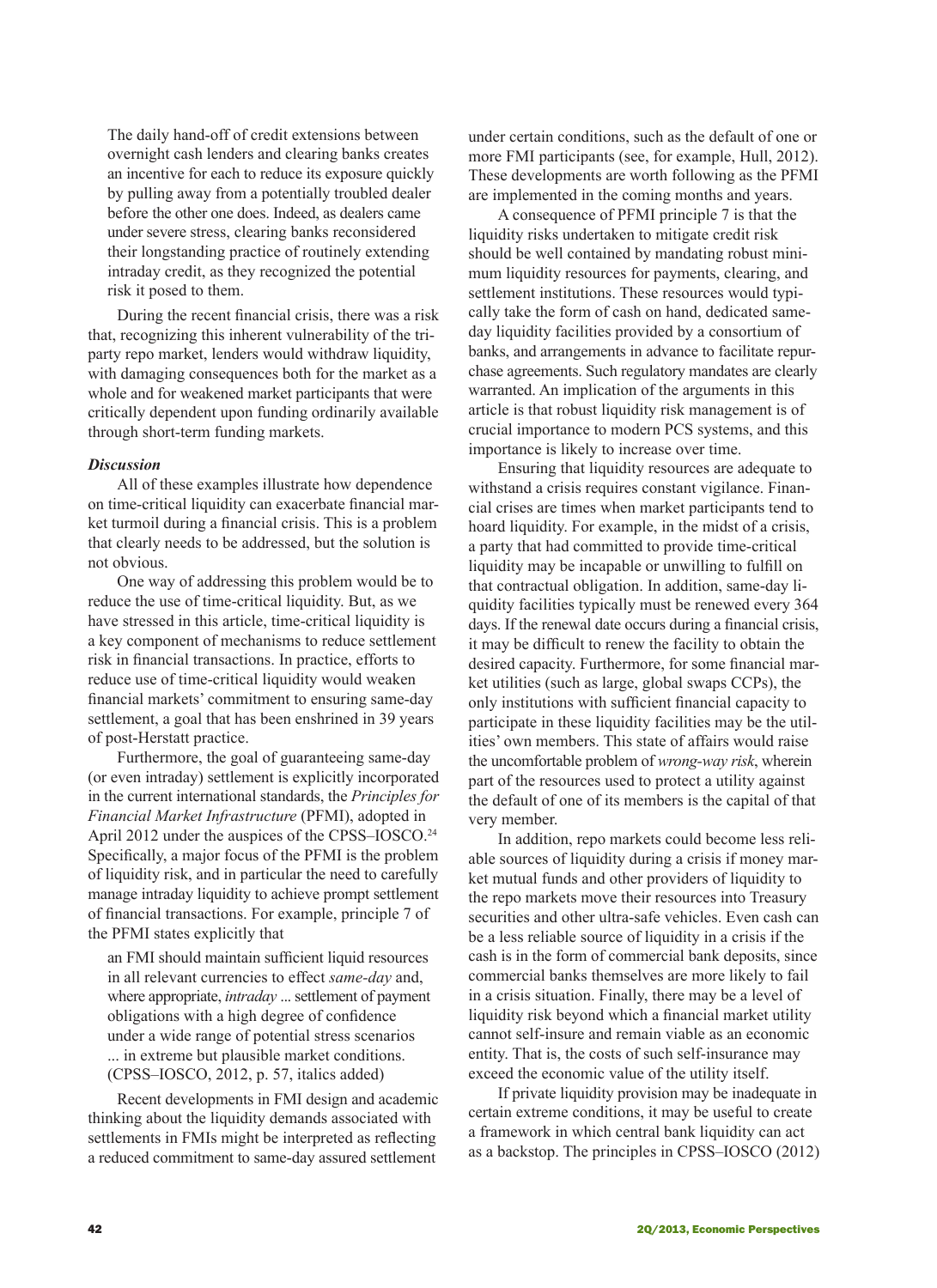The daily hand-off of credit extensions between overnight cash lenders and clearing banks creates an incentive for each to reduce its exposure quickly by pulling away from a potentially troubled dealer before the other one does. Indeed, as dealers came under severe stress, clearing banks reconsidered their longstanding practice of routinely extending intraday credit, as they recognized the potential risk it posed to them.

During the recent financial crisis, there was a risk that, recognizing this inherent vulnerability of the triparty repo market, lenders would withdraw liquidity, with damaging consequences both for the market as a whole and for weakened market participants that were critically dependent upon funding ordinarily available through short-term funding markets.

## *Discussion*

All of these examples illustrate how dependence on time-critical liquidity can exacerbate financial market turmoil during a financial crisis. This is a problem that clearly needs to be addressed, but the solution is not obvious.

One way of addressing this problem would be to reduce the use of time-critical liquidity. But, as we have stressed in this article, time-critical liquidity is a key component of mechanisms to reduce settlement risk in financial transactions. In practice, efforts to reduce use of time-critical liquidity would weaken financial markets' commitment to ensuring same-day settlement, a goal that has been enshrined in 39 years of post-Herstatt practice.

Furthermore, the goal of guaranteeing same-day (or even intraday) settlement is explicitly incorporated in the current international standards, the *Principles for Financial Market Infrastructure* (PFMI), adopted in April 2012 under the auspices of the CPSS–IOSCO.<sup>24</sup> Specifically, a major focus of the PFMI is the problem of liquidity risk, and in particular the need to carefully manage intraday liquidity to achieve prompt settlement of financial transactions. For example, principle 7 of the PFMI states explicitly that

an FMI should maintain sufficient liquid resources in all relevant currencies to effect *same-day* and, where appropriate, *intraday* ... settlement of payment obligations with a high degree of confidence under a wide range of potential stress scenarios ... in extreme but plausible market conditions.

(CPSS–IOSCO, 2012, p. 57, italics added)

Recent developments in FMI design and academic thinking about the liquidity demands associated with settlements in FMIs might be interpreted as reflecting a reduced commitment to same-day assured settlement

under certain conditions, such as the default of one or more FMI participants (see, for example, Hull, 2012). These developments are worth following as the PFMI are implemented in the coming months and years.

A consequence of PFMI principle 7 is that the liquidity risks undertaken to mitigate credit risk should be well contained by mandating robust minimum liquidity resources for payments, clearing, and settlement institutions. These resources would typically take the form of cash on hand, dedicated sameday liquidity facilities provided by a consortium of banks, and arrangements in advance to facilitate repurchase agreements. Such regulatory mandates are clearly warranted. An implication of the arguments in this article is that robust liquidity risk management is of crucial importance to modern PCS systems, and this importance is likely to increase over time.

Ensuring that liquidity resources are adequate to withstand a crisis requires constant vigilance. Financial crises are times when market participants tend to hoard liquidity. For example, in the midst of a crisis, a party that had committed to provide time-critical liquidity may be incapable or unwilling to fulfill on that contractual obligation. In addition, same-day liquidity facilities typically must be renewed every 364 days. If the renewal date occurs during a financial crisis, it may be difficult to renew the facility to obtain the desired capacity. Furthermore, for some financial market utilities (such as large, global swaps CCPs), the only institutions with sufficient financial capacity to participate in these liquidity facilities may be the utilities' own members. This state of affairs would raise the uncomfortable problem of *wrong-way risk*, wherein part of the resources used to protect a utility against the default of one of its members is the capital of that very member.

In addition, repo markets could become less reliable sources of liquidity during a crisis if money market mutual funds and other providers of liquidity to the repo markets move their resources into Treasury securities and other ultra-safe vehicles. Even cash can be a less reliable source of liquidity in a crisis if the cash is in the form of commercial bank deposits, since commercial banks themselves are more likely to fail in a crisis situation. Finally, there may be a level of liquidity risk beyond which a financial market utility cannot self-insure and remain viable as an economic entity. That is, the costs of such self-insurance may exceed the economic value of the utility itself.

If private liquidity provision may be inadequate in certain extreme conditions, it may be useful to create a framework in which central bank liquidity can act as a backstop. The principles in CPSS–IOSCO (2012)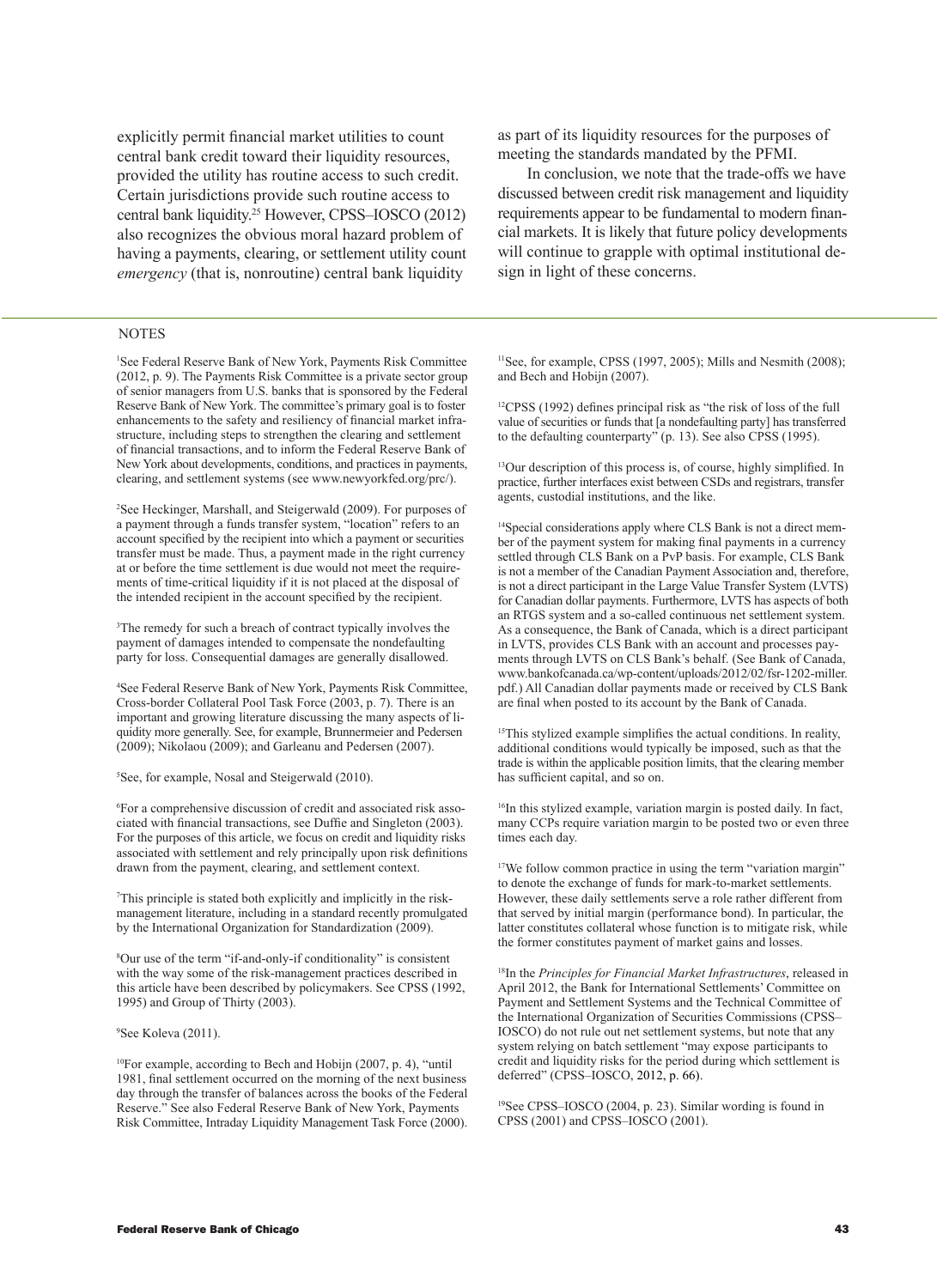explicitly permit financial market utilities to count central bank credit toward their liquidity resources, provided the utility has routine access to such credit. Certain jurisdictions provide such routine access to central bank liquidity.25 However, CPSS–IOSCO (2012) also recognizes the obvious moral hazard problem of having a payments, clearing, or settlement utility count *emergency* (that is, nonroutine) central bank liquidity

#### **NOTES**

1 See Federal Reserve Bank of New York, Payments Risk Committee (2012, p. 9). The Payments Risk Committee is a private sector group of senior managers from U.S. banks that is sponsored by the Federal Reserve Bank of New York. The committee's primary goal is to foster enhancements to the safety and resiliency of financial market infrastructure, including steps to strengthen the clearing and settlement of financial transactions, and to inform the Federal Reserve Bank of New York about developments, conditions, and practices in payments, clearing, and settlement systems (see www.newyorkfed.org/prc/).

2 See Heckinger, Marshall, and Steigerwald (2009). For purposes of a payment through a funds transfer system, "location" refers to an account specified by the recipient into which a payment or securities transfer must be made. Thus, a payment made in the right currency at or before the time settlement is due would not meet the requirements of time-critical liquidity if it is not placed at the disposal of the intended recipient in the account specified by the recipient.

3 The remedy for such a breach of contract typically involves the payment of damages intended to compensate the nondefaulting party for loss. Consequential damages are generally disallowed.

4 See Federal Reserve Bank of New York, Payments Risk Committee, Cross-border Collateral Pool Task Force (2003, p. 7). There is an important and growing literature discussing the many aspects of liquidity more generally. See, for example, Brunnermeier and Pedersen (2009); Nikolaou (2009); and Garleanu and Pedersen (2007).

5 See, for example, Nosal and Steigerwald (2010).

6 For a comprehensive discussion of credit and associated risk associated with financial transactions, see Duffie and Singleton (2003). For the purposes of this article, we focus on credit and liquidity risks associated with settlement and rely principally upon risk definitions drawn from the payment, clearing, and settlement context.

7 This principle is stated both explicitly and implicitly in the riskmanagement literature, including in a standard recently promulgated by the International Organization for Standardization (2009).

8 Our use of the term "if-and-only-if conditionality" is consistent with the way some of the risk-management practices described in this article have been described by policymakers. See CPSS (1992, 1995) and Group of Thirty (2003).

9 See Koleva (2011).

10For example, according to Bech and Hobijn (2007, p. 4), "until 1981, final settlement occurred on the morning of the next business day through the transfer of balances across the books of the Federal Reserve." See also Federal Reserve Bank of New York, Payments Risk Committee, Intraday Liquidity Management Task Force (2000). as part of its liquidity resources for the purposes of meeting the standards mandated by the PFMI.

In conclusion, we note that the trade-offs we have discussed between credit risk management and liquidity requirements appear to be fundamental to modern financial markets. It is likely that future policy developments will continue to grapple with optimal institutional design in light of these concerns.

<sup>11</sup>See, for example, CPSS (1997, 2005); Mills and Nesmith (2008); and Bech and Hobijn (2007).

12CPSS (1992) defines principal risk as "the risk of loss of the full value of securities or funds that [a nondefaulting party] has transferred to the defaulting counterparty" (p. 13). See also CPSS (1995).

13Our description of this process is, of course, highly simplified. In practice, further interfaces exist between CSDs and registrars, transfer agents, custodial institutions, and the like.

14Special considerations apply where CLS Bank is not a direct member of the payment system for making final payments in a currency settled through CLS Bank on a PvP basis. For example, CLS Bank is not a member of the Canadian Payment Association and, therefore, is not a direct participant in the Large Value Transfer System (LVTS) for Canadian dollar payments. Furthermore, LVTS has aspects of both an RTGS system and a so-called continuous net settlement system. As a consequence, the Bank of Canada, which is a direct participant in LVTS, provides CLS Bank with an account and processes payments through LVTS on CLS Bank's behalf. (See Bank of Canada, www.bankofcanada.ca/wp-content/uploads/2012/02/fsr-1202-miller. pdf.) All Canadian dollar payments made or received by CLS Bank are final when posted to its account by the Bank of Canada.

<sup>15</sup>This stylized example simplifies the actual conditions. In reality, additional conditions would typically be imposed, such as that the trade is within the applicable position limits, that the clearing member has sufficient capital, and so on.

<sup>16</sup>In this stylized example, variation margin is posted daily. In fact, many CCPs require variation margin to be posted two or even three times each day.

<sup>17</sup>We follow common practice in using the term "variation margin" to denote the exchange of funds for mark-to-market settlements. However, these daily settlements serve a role rather different from that served by initial margin (performance bond). In particular, the latter constitutes collateral whose function is to mitigate risk, while the former constitutes payment of market gains and losses.

<sup>18</sup>In the *Principles for Financial Market Infrastructures*, released in April 2012, the Bank for International Settlements' Committee on Payment and Settlement Systems and the Technical Committee of the International Organization of Securities Commissions (CPSS– IOSCO) do not rule out net settlement systems, but note that any system relying on batch settlement "may expose participants to credit and liquidity risks for the period during which settlement is deferred" (CPSS–IOSCO, 2012, p. 66).

19See CPSS–IOSCO (2004, p. 23). Similar wording is found in CPSS (2001) and CPSS–IOSCO (2001).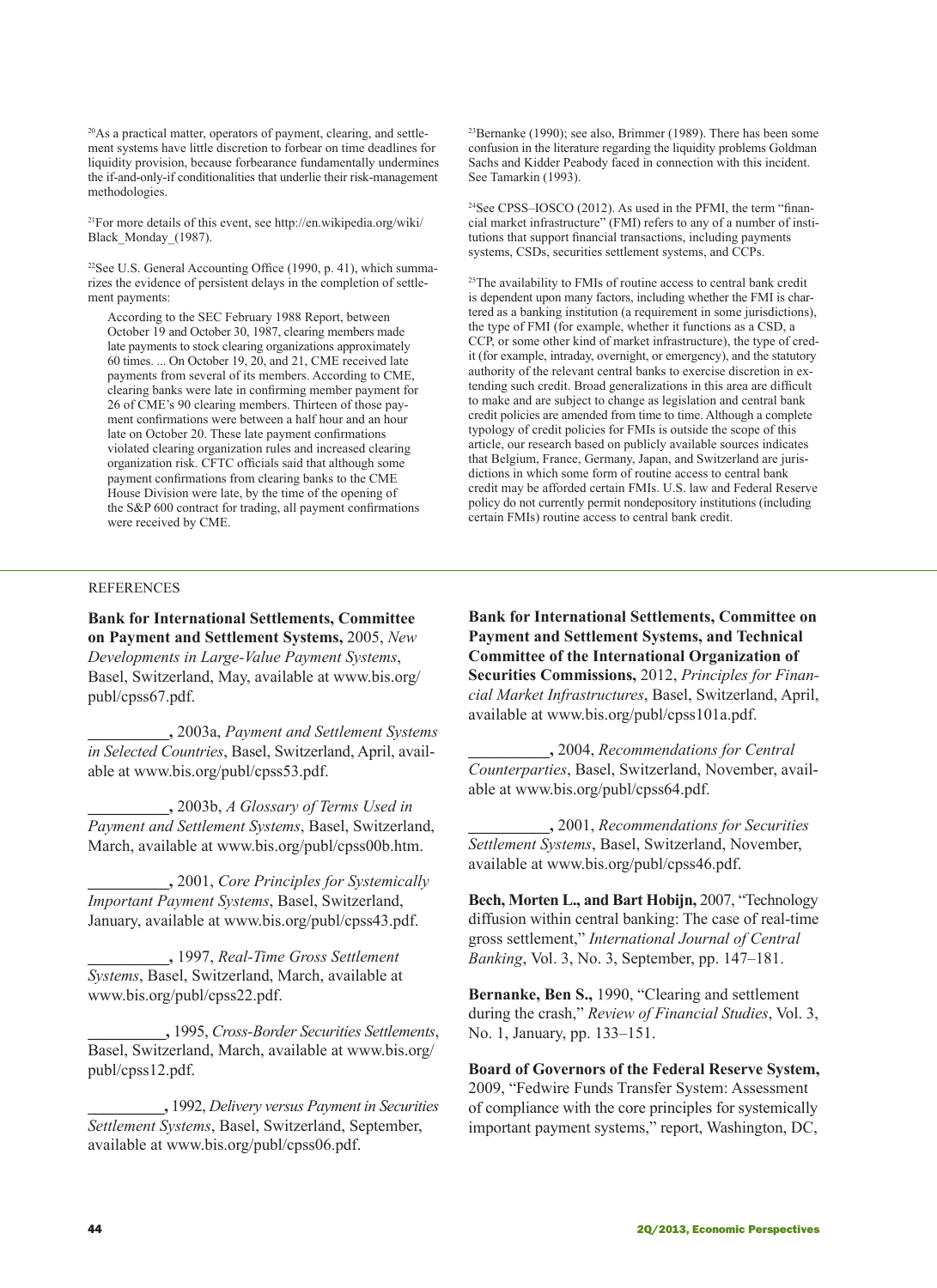20As a practical matter, operators of payment, clearing, and settlement systems have little discretion to forbear on time deadlines for liquidity provision, because forbearance fundamentally undermines the if-and-only-if conditionalities that underlie their risk-management methodologies.

21For more details of this event, see http://en.wikipedia.org/wiki/ Black\_Monday\_(1987).

<sup>22</sup>See U.S. General Accounting Office (1990, p. 41), which summarizes the evidence of persistent delays in the completion of settlement payments:

According to the SEC February 1988 Report, between October 19 and October 30, 1987, clearing members made late payments to stock clearing organizations approximately 60 times. ... On October 19, 20, and 21, CME received late payments from several of its members. According to CME, clearing banks were late in confirming member payment for 26 of CME's 90 clearing members. Thirteen of those payment confirmations were between a half hour and an hour late on October 20. These late payment confirmations violated clearing organization rules and increased clearing organization risk. CFTC officials said that although some payment confirmations from clearing banks to the CME House Division were late, by the time of the opening of the S&P 600 contract for trading, all payment confirmations were received by CME.

23Bernanke (1990); see also, Brimmer (1989). There has been some confusion in the literature regarding the liquidity problems Goldman Sachs and Kidder Peabody faced in connection with this incident. See Tamarkin (1993).

24See CPSS–IOSCO (2012). As used in the PFMI, the term "financial market infrastructure" (FMI) refers to any of a number of institutions that support financial transactions, including payments systems, CSDs, securities settlement systems, and CCPs.

<sup>25</sup>The availability to FMIs of routine access to central bank credit is dependent upon many factors, including whether the FMI is chartered as a banking institution (a requirement in some jurisdictions), the type of FMI (for example, whether it functions as a CSD, a CCP, or some other kind of market infrastructure), the type of credit (for example, intraday, overnight, or emergency), and the statutory authority of the relevant central banks to exercise discretion in extending such credit. Broad generalizations in this area are difficult to make and are subject to change as legislation and central bank credit policies are amended from time to time. Although a complete typology of credit policies for FMIs is outside the scope of this article, our research based on publicly available sources indicates that Belgium, France, Germany, Japan, and Switzerland are jurisdictions in which some form of routine access to central bank credit may be afforded certain FMIs. U.S. law and Federal Reserve policy do not currently permit nondepository institutions (including certain FMIs) routine access to central bank credit.

#### REFERENCES

**Bank for International Settlements, Committee on Payment and Settlement Systems,** 2005, *New Developments in Large-Value Payment Systems*, Basel, Switzerland, May, available at www.bis.org/ publ/cpss67.pdf.

**\_\_\_\_\_\_\_\_\_\_,** 2003a, *Payment and Settlement Systems in Selected Countries*, Basel, Switzerland, April, available at www.bis.org/publ/cpss53.pdf.

**\_\_\_\_\_\_\_\_\_\_,** 2003b, *A Glossary of Terms Used in Payment and Settlement Systems*, Basel, Switzerland, March, available at www.bis.org/publ/cpss00b.htm.

**\_\_\_\_\_\_\_\_\_\_,** 2001, *Core Principles for Systemically Important Payment Systems*, Basel, Switzerland, January, available at www.bis.org/publ/cpss43.pdf.

**\_\_\_\_\_\_\_\_\_\_,** 1997, *Real-Time Gross Settlement Systems*, Basel, Switzerland, March, available at www.bis.org/publ/cpss22.pdf.

**\_\_\_\_\_\_\_\_\_\_,** 1995, *Cross-Border Securities Settlements*, Basel, Switzerland, March, available at www.bis.org/ publ/cpss12.pdf.

**\_\_\_\_\_\_\_\_\_\_,** 1992, *Delivery versus Payment in Securities Settlement Systems*, Basel, Switzerland, September, available at www.bis.org/publ/cpss06.pdf.

**Bank for International Settlements, Committee on Payment and Settlement Systems, and Technical Committee of the International Organization of Securities Commissions,** 2012, *Principles for Financial Market Infrastructures*, Basel, Switzerland, April, available at www.bis.org/publ/cpss101a.pdf.

**\_\_\_\_\_\_\_\_\_\_,** 2004, *Recommendations for Central Counterparties*, Basel, Switzerland, November, available at www.bis.org/publ/cpss64.pdf.

**\_\_\_\_\_\_\_\_\_\_,** 2001, *Recommendations for Securities Settlement Systems*, Basel, Switzerland, November, available at www.bis.org/publ/cpss46.pdf.

**Bech, Morten L., and Bart Hobijn,** 2007, "Technology diffusion within central banking: The case of real-time gross settlement," *International Journal of Central Banking*, Vol. 3, No. 3, September, pp. 147–181.

**Bernanke, Ben S.,** 1990, "Clearing and settlement during the crash," *Review of Financial Studies*, Vol. 3, No. 1, January, pp. 133–151.

**Board of Governors of the Federal Reserve System,** 2009, "Fedwire Funds Transfer System: Assessment of compliance with the core principles for systemically important payment systems," report, Washington, DC,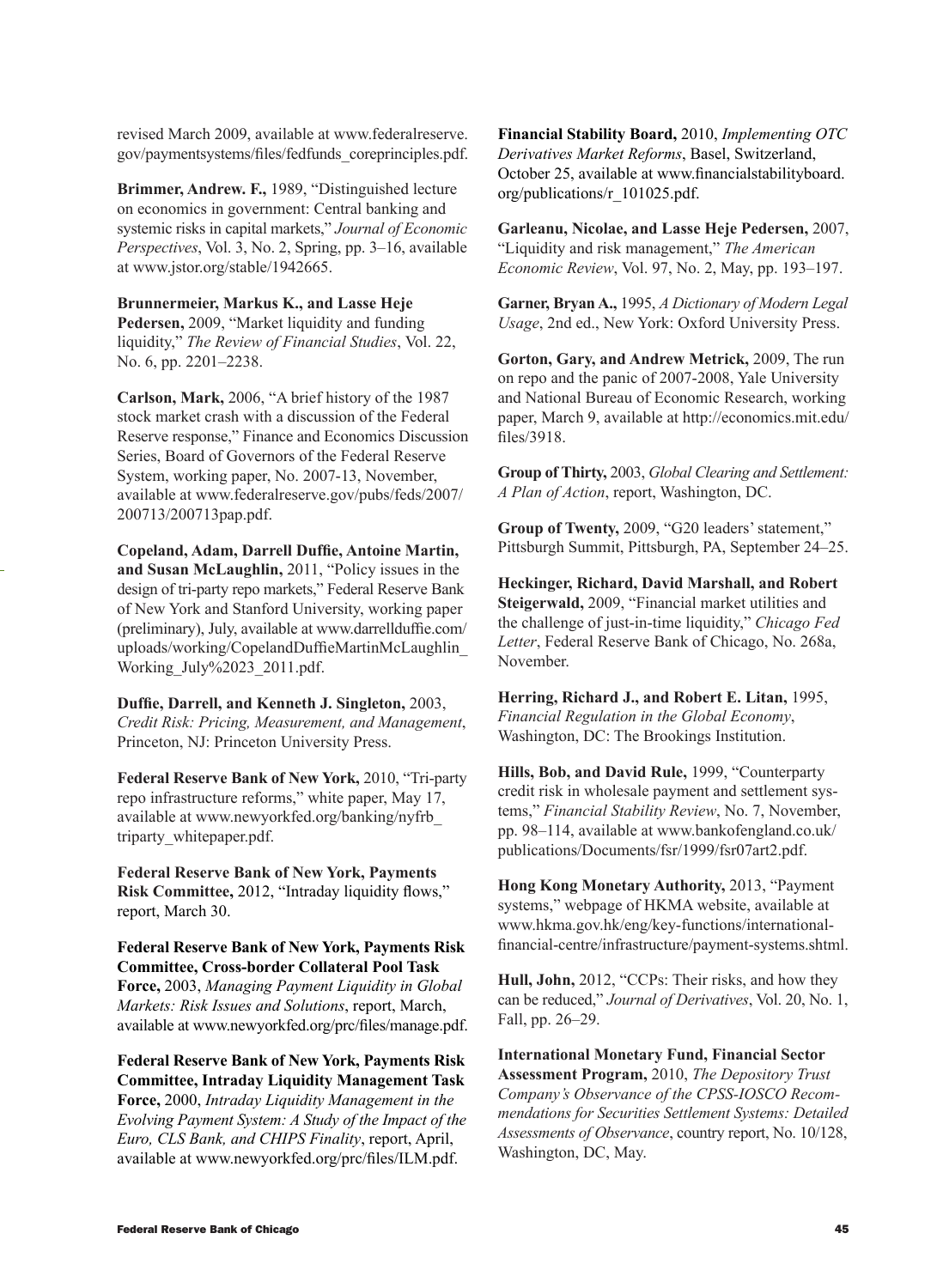revised March 2009, available at www.federalreserve. gov/paymentsystems/files/fedfunds\_coreprinciples.pdf.

**Brimmer, Andrew. F.,** 1989, "Distinguished lecture on economics in government: Central banking and systemic risks in capital markets," *Journal of Economic Perspectives*, Vol. 3, No. 2, Spring, pp. 3–16, available at www.jstor.org/stable/1942665.

**Brunnermeier, Markus K., and Lasse Heje Pedersen,** 2009, "Market liquidity and funding liquidity," *The Review of Financial Studies*, Vol. 22, No. 6, pp. 2201–2238.

**Carlson, Mark,** 2006, "A brief history of the 1987 stock market crash with a discussion of the Federal Reserve response," Finance and Economics Discussion Series, Board of Governors of the Federal Reserve System, working paper, No. 2007-13, November, available at www.federalreserve.gov/pubs/feds/2007/ 200713/200713pap.pdf.

**Copeland, Adam, Darrell Duffie, Antoine Martin, and Susan McLaughlin,** 2011, "Policy issues in the design of tri-party repo markets," Federal Reserve Bank of New York and Stanford University, working paper (preliminary), July, available at www.darrellduffie.com/ uploads/working/CopelandDuffieMartinMcLaughlin\_ Working\_July%2023\_2011.pdf.

**Duffie, Darrell, and Kenneth J. Singleton,** 2003, *Credit Risk: Pricing, Measurement, and Management*, Princeton, NJ: Princeton University Press.

**Federal Reserve Bank of New York,** 2010, "Tri-party repo infrastructure reforms," white paper, May 17, available at www.newyorkfed.org/banking/nyfrb\_ triparty\_whitepaper.pdf.

**Federal Reserve Bank of New York, Payments Risk Committee,** 2012, "Intraday liquidity flows," report, March 30.

**Federal Reserve Bank of New York, Payments Risk Committee, Cross-border Collateral Pool Task Force,** 2003, *Managing Payment Liquidity in Global Markets: Risk Issues and Solutions*, report, March, available at www.newyorkfed.org/prc/files/manage.pdf.

**Federal Reserve Bank of New York, Payments Risk Committee, Intraday Liquidity Management Task Force,** 2000, *Intraday Liquidity Management in the Evolving Payment System: A Study of the Impact of the Euro, CLS Bank, and CHIPS Finality*, report, April, available at www.newyorkfed.org/prc/files/ILM.pdf.

**Financial Stability Board,** 2010, *Implementing OTC Derivatives Market Reforms*, Basel, Switzerland, October 25, available at www.financialstabilityboard. org/publications/r\_101025.pdf.

**Garleanu, Nicolae, and Lasse Heje Pedersen,** 2007, "Liquidity and risk management," *The American Economic Review*, Vol. 97, No. 2, May, pp. 193–197.

**Garner, Bryan A.,** 1995, *A Dictionary of Modern Legal Usage*, 2nd ed., New York: Oxford University Press.

**Gorton, Gary, and Andrew Metrick,** 2009, The run on repo and the panic of 2007-2008, Yale University and National Bureau of Economic Research, working paper, March 9, available at http://economics.mit.edu/ files/3918.

**Group of Thirty,** 2003, *Global Clearing and Settlement: A Plan of Action*, report, Washington, DC.

**Group of Twenty,** 2009, "G20 leaders' statement," Pittsburgh Summit, Pittsburgh, PA, September 24–25.

**Heckinger, Richard, David Marshall, and Robert Steigerwald,** 2009, "Financial market utilities and the challenge of just-in-time liquidity," *Chicago Fed Letter*, Federal Reserve Bank of Chicago, No. 268a, November.

**Herring, Richard J., and Robert E. Litan,** 1995, *Financial Regulation in the Global Economy*, Washington, DC: The Brookings Institution.

**Hills, Bob, and David Rule,** 1999, "Counterparty credit risk in wholesale payment and settlement systems," *Financial Stability Review*, No. 7, November, pp. 98–114, available at www.bankofengland.co.uk/ publications/Documents/fsr/1999/fsr07art2.pdf.

**Hong Kong Monetary Authority,** 2013, "Payment systems," webpage of HKMA website, available at www.hkma.gov.hk/eng/key-functions/internationalfinancial-centre/infrastructure/payment-systems.shtml.

**Hull, John,** 2012, "CCPs: Their risks, and how they can be reduced," *Journal of Derivatives*, Vol. 20, No. 1, Fall, pp. 26–29.

**International Monetary Fund, Financial Sector Assessment Program,** 2010, *The Depository Trust Company's Observance of the CPSS-IOSCO Recommendations for Securities Settlement Systems: Detailed Assessments of Observance*, country report, No. 10/128, Washington, DC, May.